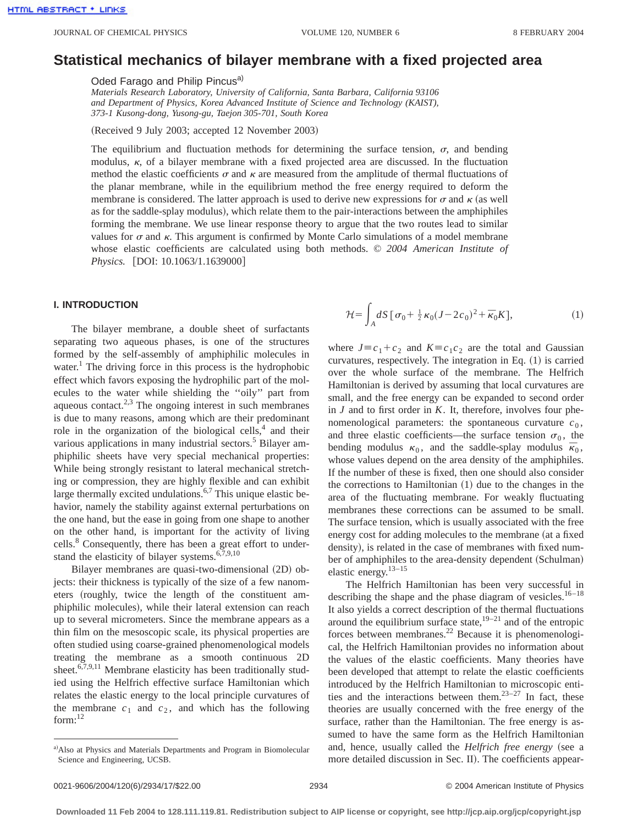# **Statistical mechanics of bilayer membrane with a fixed projected area**

Oded Farago and Philip Pincus<sup>a)</sup>

*Materials Research Laboratory, University of California, Santa Barbara, California 93106 and Department of Physics, Korea Advanced Institute of Science and Technology (KAIST), 373-1 Kusong-dong, Yusong-gu, Taejon 305-701, South Korea*

(Received 9 July 2003; accepted 12 November 2003)

The equilibrium and fluctuation methods for determining the surface tension,  $\sigma$ , and bending modulus,  $\kappa$ , of a bilayer membrane with a fixed projected area are discussed. In the fluctuation method the elastic coefficients  $\sigma$  and  $\kappa$  are measured from the amplitude of thermal fluctuations of the planar membrane, while in the equilibrium method the free energy required to deform the membrane is considered. The latter approach is used to derive new expressions for  $\sigma$  and  $\kappa$  (as well as for the saddle-splay modulus), which relate them to the pair-interactions between the amphiphiles forming the membrane. We use linear response theory to argue that the two routes lead to similar values for  $\sigma$  and  $\kappa$ . This argument is confirmed by Monte Carlo simulations of a model membrane whose elastic coefficients are calculated using both methods. © *2004 American Institute of Physics.* [DOI: 10.1063/1.1639000]

## **I. INTRODUCTION**

The bilayer membrane, a double sheet of surfactants separating two aqueous phases, is one of the structures formed by the self-assembly of amphiphilic molecules in water.<sup>1</sup> The driving force in this process is the hydrophobic effect which favors exposing the hydrophilic part of the molecules to the water while shielding the ''oily'' part from aqueous contact. $2,3$  The ongoing interest in such membranes is due to many reasons, among which are their predominant role in the organization of the biological cells, $4$  and their various applications in many industrial sectors.<sup>5</sup> Bilayer amphiphilic sheets have very special mechanical properties: While being strongly resistant to lateral mechanical stretching or compression, they are highly flexible and can exhibit large thermally excited undulations.<sup>6,7</sup> This unique elastic behavior, namely the stability against external perturbations on the one hand, but the ease in going from one shape to another on the other hand, is important for the activity of living cells.<sup>8</sup> Consequently, there has been a great effort to understand the elasticity of bilayer systems.  $6,7,9,10$ 

Bilayer membranes are quasi-two-dimensional (2D) objects: their thickness is typically of the size of a few nanometers (roughly, twice the length of the constituent amphiphilic molecules), while their lateral extension can reach up to several micrometers. Since the membrane appears as a thin film on the mesoscopic scale, its physical properties are often studied using coarse-grained phenomenological models treating the membrane as a smooth continuous 2D sheet. $6,7,9,11$  Membrane elasticity has been traditionally studied using the Helfrich effective surface Hamiltonian which relates the elastic energy to the local principle curvatures of the membrane  $c_1$  and  $c_2$ , and which has the following  $form: <sup>12</sup>$ 

$$
\mathcal{H} = \int_{A} dS \left[ \sigma_0 + \frac{1}{2} \kappa_0 (J - 2c_0)^2 + \overline{\kappa}_0 K \right],\tag{1}
$$

where  $J \equiv c_1 + c_2$  and  $K \equiv c_1 c_2$  are the total and Gaussian curvatures, respectively. The integration in Eq.  $(1)$  is carried over the whole surface of the membrane. The Helfrich Hamiltonian is derived by assuming that local curvatures are small, and the free energy can be expanded to second order in *J* and to first order in *K*. It, therefore, involves four phenomenological parameters: the spontaneous curvature  $c_0$ , and three elastic coefficients—the surface tension  $\sigma_0$ , the bending modulus  $\kappa_0$ , and the saddle-splay modulus  $\bar{\kappa}_0$ , whose values depend on the area density of the amphiphiles. If the number of these is fixed, then one should also consider the corrections to Hamiltonian  $(1)$  due to the changes in the area of the fluctuating membrane. For weakly fluctuating membranes these corrections can be assumed to be small. The surface tension, which is usually associated with the free energy cost for adding molecules to the membrane (at a fixed density), is related in the case of membranes with fixed number of amphiphiles to the area-density dependent (Schulman) elastic energy.13–15

The Helfrich Hamiltonian has been very successful in describing the shape and the phase diagram of vesicles.<sup>16–18</sup> It also yields a correct description of the thermal fluctuations around the equilibrium surface state, $19-21$  and of the entropic forces between membranes.22 Because it is phenomenological, the Helfrich Hamiltonian provides no information about the values of the elastic coefficients. Many theories have been developed that attempt to relate the elastic coefficients introduced by the Helfrich Hamiltonian to microscopic entities and the interactions between them.<sup>23–27</sup> In fact, these theories are usually concerned with the free energy of the surface, rather than the Hamiltonian. The free energy is assumed to have the same form as the Helfrich Hamiltonian and, hence, usually called the *Helfrich free energy* (see a more detailed discussion in Sec. II). The coefficients appear-

a) Also at Physics and Materials Departments and Program in Biomolecular Science and Engineering, UCSB.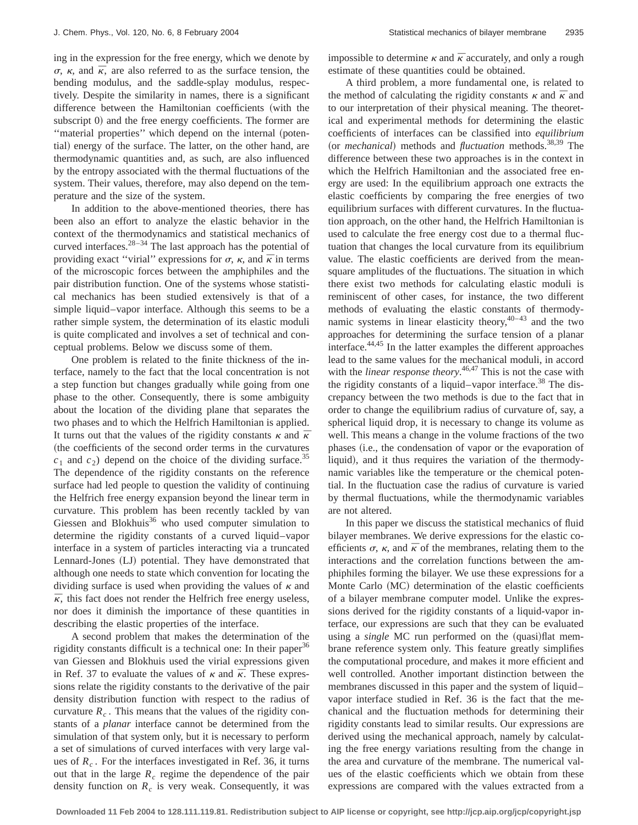ing in the expression for the free energy, which we denote by  $\sigma$ ,  $\kappa$ , and  $\bar{\kappa}$ , are also referred to as the surface tension, the bending modulus, and the saddle-splay modulus, respectively. Despite the similarity in names, there is a significant difference between the Hamiltonian coefficients (with the subscript 0) and the free energy coefficients. The former are "material properties" which depend on the internal (potential) energy of the surface. The latter, on the other hand, are thermodynamic quantities and, as such, are also influenced by the entropy associated with the thermal fluctuations of the system. Their values, therefore, may also depend on the temperature and the size of the system.

In addition to the above-mentioned theories, there has been also an effort to analyze the elastic behavior in the context of the thermodynamics and statistical mechanics of curved interfaces. $28-34$  The last approach has the potential of providing exact "virial" expressions for  $\sigma$ ,  $\kappa$ , and  $\bar{\kappa}$  in terms of the microscopic forces between the amphiphiles and the pair distribution function. One of the systems whose statistical mechanics has been studied extensively is that of a simple liquid–vapor interface. Although this seems to be a rather simple system, the determination of its elastic moduli is quite complicated and involves a set of technical and conceptual problems. Below we discuss some of them.

One problem is related to the finite thickness of the interface, namely to the fact that the local concentration is not a step function but changes gradually while going from one phase to the other. Consequently, there is some ambiguity about the location of the dividing plane that separates the two phases and to which the Helfrich Hamiltonian is applied. It turns out that the values of the rigidity constants  $\kappa$  and  $\bar{\kappa}$ (the coefficients of the second order terms in the curvatures  $c_1$  and  $c_2$ ) depend on the choice of the dividing surface.<sup>35</sup> The dependence of the rigidity constants on the reference surface had led people to question the validity of continuing the Helfrich free energy expansion beyond the linear term in curvature. This problem has been recently tackled by van Giessen and Blokhuis<sup>36</sup> who used computer simulation to determine the rigidity constants of a curved liquid–vapor interface in a system of particles interacting via a truncated Lennard-Jones (LJ) potential. They have demonstrated that although one needs to state which convention for locating the dividing surface is used when providing the values of  $\kappa$  and  $\bar{\kappa}$ , this fact does not render the Helfrich free energy useless, nor does it diminish the importance of these quantities in describing the elastic properties of the interface.

A second problem that makes the determination of the rigidity constants difficult is a technical one: In their paper<sup>36</sup> van Giessen and Blokhuis used the virial expressions given in Ref. 37 to evaluate the values of  $\kappa$  and  $\bar{\kappa}$ . These expressions relate the rigidity constants to the derivative of the pair density distribution function with respect to the radius of curvature  $R<sub>c</sub>$ . This means that the values of the rigidity constants of a *planar* interface cannot be determined from the simulation of that system only, but it is necessary to perform a set of simulations of curved interfaces with very large values of  $R<sub>c</sub>$ . For the interfaces investigated in Ref. 36, it turns out that in the large  $R_c$  regime the dependence of the pair density function on  $R_c$  is very weak. Consequently, it was impossible to determine  $\kappa$  and  $\bar{\kappa}$  accurately, and only a rough estimate of these quantities could be obtained.

A third problem, a more fundamental one, is related to the method of calculating the rigidity constants  $\kappa$  and  $\bar{\kappa}$  and to our interpretation of their physical meaning. The theoretical and experimental methods for determining the elastic coefficients of interfaces can be classified into *equilibrium* (or *mechanical*) methods and *fluctuation* methods.<sup>38,39</sup> The difference between these two approaches is in the context in which the Helfrich Hamiltonian and the associated free energy are used: In the equilibrium approach one extracts the elastic coefficients by comparing the free energies of two equilibrium surfaces with different curvatures. In the fluctuation approach, on the other hand, the Helfrich Hamiltonian is used to calculate the free energy cost due to a thermal fluctuation that changes the local curvature from its equilibrium value. The elastic coefficients are derived from the meansquare amplitudes of the fluctuations. The situation in which there exist two methods for calculating elastic moduli is reminiscent of other cases, for instance, the two different methods of evaluating the elastic constants of thermodynamic systems in linear elasticity theory, $40-43$  and the two approaches for determining the surface tension of a planar interface.44,45 In the latter examples the different approaches lead to the same values for the mechanical moduli, in accord with the *linear response theory*. 46,47 This is not the case with the rigidity constants of a liquid–vapor interface.<sup>38</sup> The discrepancy between the two methods is due to the fact that in order to change the equilibrium radius of curvature of, say, a spherical liquid drop, it is necessary to change its volume as well. This means a change in the volume fractions of the two phases (i.e., the condensation of vapor or the evaporation of liquid), and it thus requires the variation of the thermodynamic variables like the temperature or the chemical potential. In the fluctuation case the radius of curvature is varied by thermal fluctuations, while the thermodynamic variables are not altered.

In this paper we discuss the statistical mechanics of fluid bilayer membranes. We derive expressions for the elastic coefficients  $\sigma$ ,  $\kappa$ , and  $\bar{\kappa}$  of the membranes, relating them to the interactions and the correlation functions between the amphiphiles forming the bilayer. We use these expressions for a Monte Carlo (MC) determination of the elastic coefficients of a bilayer membrane computer model. Unlike the expressions derived for the rigidity constants of a liquid-vapor interface, our expressions are such that they can be evaluated using a *single* MC run performed on the (quasi)flat membrane reference system only. This feature greatly simplifies the computational procedure, and makes it more efficient and well controlled. Another important distinction between the membranes discussed in this paper and the system of liquid– vapor interface studied in Ref. 36 is the fact that the mechanical and the fluctuation methods for determining their rigidity constants lead to similar results. Our expressions are derived using the mechanical approach, namely by calculating the free energy variations resulting from the change in the area and curvature of the membrane. The numerical values of the elastic coefficients which we obtain from these expressions are compared with the values extracted from a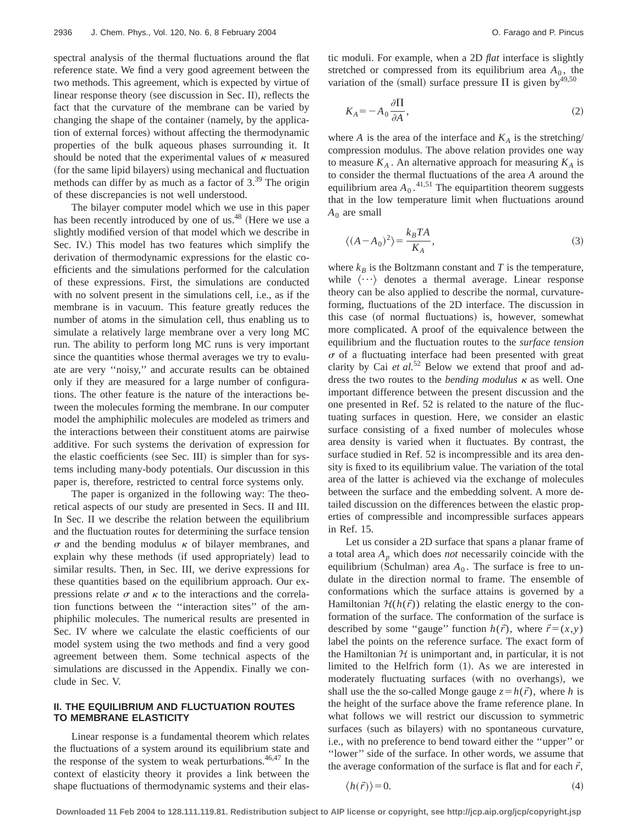spectral analysis of the thermal fluctuations around the flat reference state. We find a very good agreement between the two methods. This agreement, which is expected by virtue of linear response theory (see discussion in Sec. II), reflects the fact that the curvature of the membrane can be varied by changing the shape of the container (namely, by the application of external forces) without affecting the thermodynamic properties of the bulk aqueous phases surrounding it. It should be noted that the experimental values of  $\kappa$  measured (for the same lipid bilayers) using mechanical and fluctuation methods can differ by as much as a factor of  $3<sup>39</sup>$ . The origin of these discrepancies is not well understood.

The bilayer computer model which we use in this paper has been recently introduced by one of us.<sup>48</sup> (Here we use a slightly modified version of that model which we describe in Sec. IV.) This model has two features which simplify the derivation of thermodynamic expressions for the elastic coefficients and the simulations performed for the calculation of these expressions. First, the simulations are conducted with no solvent present in the simulations cell, i.e., as if the membrane is in vacuum. This feature greatly reduces the number of atoms in the simulation cell, thus enabling us to simulate a relatively large membrane over a very long MC run. The ability to perform long MC runs is very important since the quantities whose thermal averages we try to evaluate are very ''noisy,'' and accurate results can be obtained only if they are measured for a large number of configurations. The other feature is the nature of the interactions between the molecules forming the membrane. In our computer model the amphiphilic molecules are modeled as trimers and the interactions between their constituent atoms are pairwise additive. For such systems the derivation of expression for the elastic coefficients (see Sec. III) is simpler than for systems including many-body potentials. Our discussion in this paper is, therefore, restricted to central force systems only.

The paper is organized in the following way: The theoretical aspects of our study are presented in Secs. II and III. In Sec. II we describe the relation between the equilibrium and the fluctuation routes for determining the surface tension  $\sigma$  and the bending modulus  $\kappa$  of bilayer membranes, and explain why these methods (if used appropriately) lead to similar results. Then, in Sec. III, we derive expressions for these quantities based on the equilibrium approach. Our expressions relate  $\sigma$  and  $\kappa$  to the interactions and the correlation functions between the ''interaction sites'' of the amphiphilic molecules. The numerical results are presented in Sec. IV where we calculate the elastic coefficients of our model system using the two methods and find a very good agreement between them. Some technical aspects of the simulations are discussed in the Appendix. Finally we conclude in Sec. V.

## **II. THE EQUILIBRIUM AND FLUCTUATION ROUTES TO MEMBRANE ELASTICITY**

Linear response is a fundamental theorem which relates the fluctuations of a system around its equilibrium state and the response of the system to weak perturbations.<sup>46,47</sup> In the context of elasticity theory it provides a link between the shape fluctuations of thermodynamic systems and their elastic moduli. For example, when a 2D *flat* interface is slightly stretched or compressed from its equilibrium area  $A_0$ , the variation of the (small) surface pressure  $\Pi$  is given by <sup>49,50</sup>

$$
K_A = -A_0 \frac{\partial \Pi}{\partial A},\tag{2}
$$

where *A* is the area of the interface and  $K_A$  is the stretching/ compression modulus. The above relation provides one way to measure  $K_A$ . An alternative approach for measuring  $K_A$  is to consider the thermal fluctuations of the area *A* around the equilibrium area  $A_0$ .<sup>41,51</sup> The equipartition theorem suggests that in the low temperature limit when fluctuations around  $A_0$  are small

$$
\langle (A - A_0)^2 \rangle = \frac{k_B T A}{K_A},\tag{3}
$$

where  $k_B$  is the Boltzmann constant and  $T$  is the temperature, while  $\langle \cdots \rangle$  denotes a thermal average. Linear response theory can be also applied to describe the normal, curvatureforming, fluctuations of the 2D interface. The discussion in this case (of normal fluctuations) is, however, somewhat more complicated. A proof of the equivalence between the equilibrium and the fluctuation routes to the *surface tension*  $\sigma$  of a fluctuating interface had been presented with great clarity by Cai *et al.*<sup>52</sup> Below we extend that proof and address the two routes to the *bending modulus*  $\kappa$  as well. One important difference between the present discussion and the one presented in Ref. 52 is related to the nature of the fluctuating surfaces in question. Here, we consider an elastic surface consisting of a fixed number of molecules whose area density is varied when it fluctuates. By contrast, the surface studied in Ref. 52 is incompressible and its area density is fixed to its equilibrium value. The variation of the total area of the latter is achieved via the exchange of molecules between the surface and the embedding solvent. A more detailed discussion on the differences between the elastic properties of compressible and incompressible surfaces appears in Ref. 15.

Let us consider a 2D surface that spans a planar frame of a total area *Ap* which does *not* necessarily coincide with the equilibrium (Schulman) area  $A_0$ . The surface is free to undulate in the direction normal to frame. The ensemble of conformations which the surface attains is governed by a Hamiltonian  $\mathcal{H}(h(\vec{r}))$  relating the elastic energy to the conformation of the surface. The conformation of the surface is described by some "gauge" function  $h(\vec{r})$ , where  $\vec{r} = (x, y)$ label the points on the reference surface. The exact form of the Hamiltonian  $H$  is unimportant and, in particular, it is not limited to the Helfrich form  $(1)$ . As we are interested in moderately fluctuating surfaces (with no overhangs), we shall use the the so-called Monge gauge  $z=h(\vec{r})$ , where *h* is the height of the surface above the frame reference plane. In what follows we will restrict our discussion to symmetric surfaces (such as bilayers) with no spontaneous curvature, i.e., with no preference to bend toward either the ''upper'' or ''lower'' side of the surface. In other words, we assume that the average conformation of the surface is flat and for each  $\vec{r}$ ,

$$
\langle h(\vec{r})\rangle = 0.\tag{4}
$$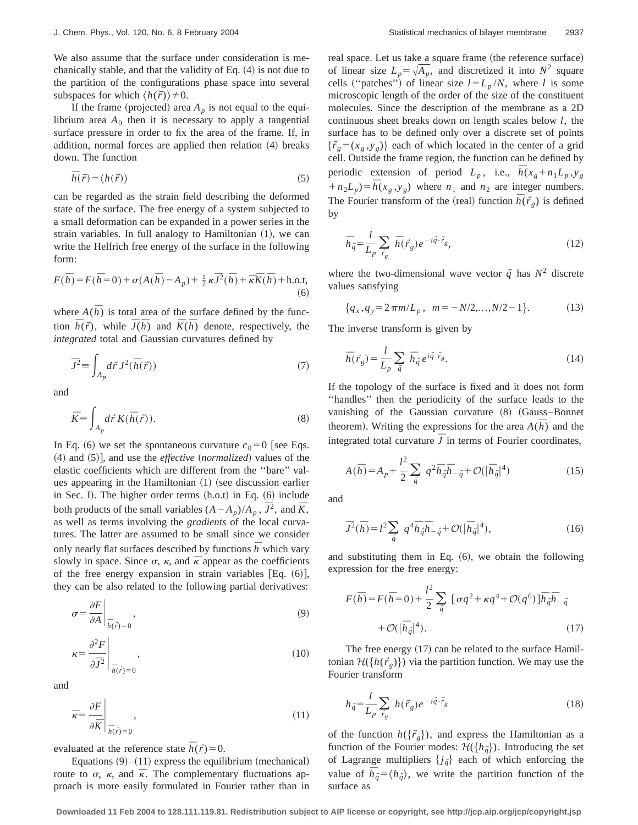We also assume that the surface under consideration is mechanically stable, and that the validity of Eq.  $(4)$  is not due to the partition of the configurations phase space into several subspaces for which  $\langle h(\vec{r})\rangle \neq 0$ .

If the frame (projected) area  $A_p$  is not equal to the equilibrium area  $A_0$  then it is necessary to apply a tangential surface pressure in order to fix the area of the frame. If, in addition, normal forces are applied then relation  $(4)$  breaks down. The function

$$
\overline{h}(\overrightarrow{r}) = \langle h(\overrightarrow{r}) \rangle \tag{5}
$$

can be regarded as the strain field describing the deformed state of the surface. The free energy of a system subjected to a small deformation can be expanded in a power series in the strain variables. In full analogy to Hamiltonian  $(1)$ , we can write the Helfrich free energy of the surface in the following form:

$$
F(\overline{h}) = F(\overline{h} = 0) + \sigma(A(\overline{h}) - A_p) + \frac{1}{2}\kappa \overline{J}^2(\overline{h}) + \overline{\kappa}\overline{K}(\overline{h}) + \text{h.o.t},
$$
  
(6)

where  $A(\bar{h})$  is total area of the surface defined by the function  $\overline{h}(\overrightarrow{r})$ , while  $\overline{J}(\overline{h})$  and  $\overline{K}(\overline{h})$  denote, respectively, the *integrated* total and Gaussian curvatures defined by

$$
\overline{J}^2 \equiv \int_{A_p} d\vec{r} \, J^2(\overline{h}(\vec{r})) \tag{7}
$$

and

$$
\overline{K} \equiv \int_{A_p} d\overrightarrow{r} K(\overline{h}(\overrightarrow{r})). \tag{8}
$$

In Eq. (6) we set the spontaneous curvature  $c_0=0$  [see Eqs.  $(4)$  and  $(5)$ ], and use the *effective* (*normalized*) values of the elastic coefficients which are different from the ''bare'' values appearing in the Hamiltonian  $(1)$  (see discussion earlier in Sec. I). The higher order terms  $(h.o.t)$  in Eq.  $(6)$  include both products of the small variables  $(A - A_p)/A_p$ ,  $\overline{J}^2$ , and  $\overline{K}$ , as well as terms involving the *gradients* of the local curvatures. The latter are assumed to be small since we consider only nearly flat surfaces described by functions  $\bar{h}$  which vary slowly in space. Since  $\sigma$ ,  $\kappa$ , and  $\bar{\kappa}$  appear as the coefficients of the free energy expansion in strain variables  $Eq. (6)$ , they can be also related to the following partial derivatives:

$$
\sigma = \frac{\partial F}{\partial A} \bigg|_{\vec{h}(\vec{r}) = 0},\tag{9}
$$

$$
\kappa = \frac{\partial^2 F}{\partial \bar{J}^2} \bigg|_{\vec{h}(\vec{r}) = 0},\tag{10}
$$

and

$$
\overline{\kappa} = \frac{\partial F}{\partial \overline{K}} \bigg|_{\overline{h}(\overrightarrow{r}) = 0},\tag{11}
$$

evaluated at the reference state  $\bar{h}(\vec{r}) = 0$ .

Equations  $(9)$ – $(11)$  express the equilibrium (mechanical) route to  $\sigma$ ,  $\kappa$ , and  $\bar{\kappa}$ . The complementary fluctuations approach is more easily formulated in Fourier rather than in real space. Let us take a square frame (the reference surface) of linear size  $L_p = \sqrt{A_p}$ , and discretized it into  $N^2$  square cells ("patches") of linear size  $l = L_p / N$ , where *l* is some microscopic length of the order of the size of the constituent molecules. Since the description of the membrane as a 2D continuous sheet breaks down on length scales below *l*, the surface has to be defined only over a discrete set of points  $\{\vec{r}_g = (x_g, y_g)\}\)$  each of which located in the center of a grid cell. Outside the frame region, the function can be defined by periodic extension of period  $L_p$ , i.e.,  $\bar{h}(x_g + n_1 L_p, y_g)$  $+n_2L_p$ ) =  $\bar{h}(x_g, y_g)$  where  $n_1$  and  $n_2$  are integer numbers. The Fourier transform of the (real) function  $\overline{h}(\overline{r}_g)$  is defined by

$$
\bar{h}_{\vec{q}} = \frac{l}{L_p} \sum_{\vec{r}_g} \bar{h}(\vec{r}_g) e^{-i\vec{q}\cdot\vec{r}_g},\tag{12}
$$

where the two-dimensional wave vector  $\vec{q}$  has  $N^2$  discrete values satisfying

$$
\{q_x, q_y = 2\pi m/L_p, \ m = -N/2, \dots, N/2 - 1\}.
$$
 (13)

The inverse transform is given by

$$
\overline{h}(\overrightarrow{r}_g) = \frac{l}{L_p} \sum_{\overrightarrow{q}} \overline{h}_{\overrightarrow{q}} e^{i\overrightarrow{q} \cdot \overrightarrow{r}_g}.
$$
\n(14)

If the topology of the surface is fixed and it does not form ''handles'' then the periodicity of the surface leads to the vanishing of the Gaussian curvature (8) (Gauss–Bonnet theorem). Writing the expressions for the area  $A(\bar{h})$  and the integrated total curvature  $\bar{J}$  in terms of Fourier coordinates,

$$
A(\bar{h}) = A_p + \frac{l^2}{2} \sum_{\vec{q}} q^2 \bar{h}_{\vec{q}} \bar{h}_{-\vec{q}} + \mathcal{O}(|\bar{h}_{\vec{q}}|^4)
$$
 (15)

and

$$
\overline{J}^2(\overline{h}) = l^2 \sum_{\vec{q}} q^4 \overline{h}_{\vec{q}} \overline{h}_{-\vec{q}} + \mathcal{O}(|\overline{h}_{\vec{q}}|^4), \qquad (16)
$$

and substituting them in Eq.  $(6)$ , we obtain the following expression for the free energy:

$$
F(\bar{h}) = F(\bar{h}=0) + \frac{l^2}{2} \sum_{\tilde{q}} \left[ \sigma q^2 + \kappa q^4 + \mathcal{O}(q^6) \right] \bar{h}_{\tilde{q}} \bar{h}_{-\tilde{q}} + \mathcal{O}(|\bar{h}_{\tilde{q}}|^4). \tag{17}
$$

The free energy  $(17)$  can be related to the surface Hamiltonian  $\mathcal{H}(\lbrace h(\vec{r}_g) \rbrace)$  via the partition function. We may use the Fourier transform

$$
h_{\vec{q}} = \frac{l}{L_p} \sum_{\vec{r}_g} h(\vec{r}_g) e^{-i\vec{q}\cdot\vec{r}_g}
$$
 (18)

of the function  $h(\lbrace \vec{r}_g \rbrace)$ , and express the Hamiltonian as a function of the Fourier modes:  $\mathcal{H}(\lbrace h_a \rbrace)$ . Introducing the set of Lagrange multipliers  $\{j_{\vec{q}}\}$  each of which enforcing the value of  $\bar{h}_{\vec{q}} = \langle h_{\vec{q}} \rangle$ , we write the partition function of the surface as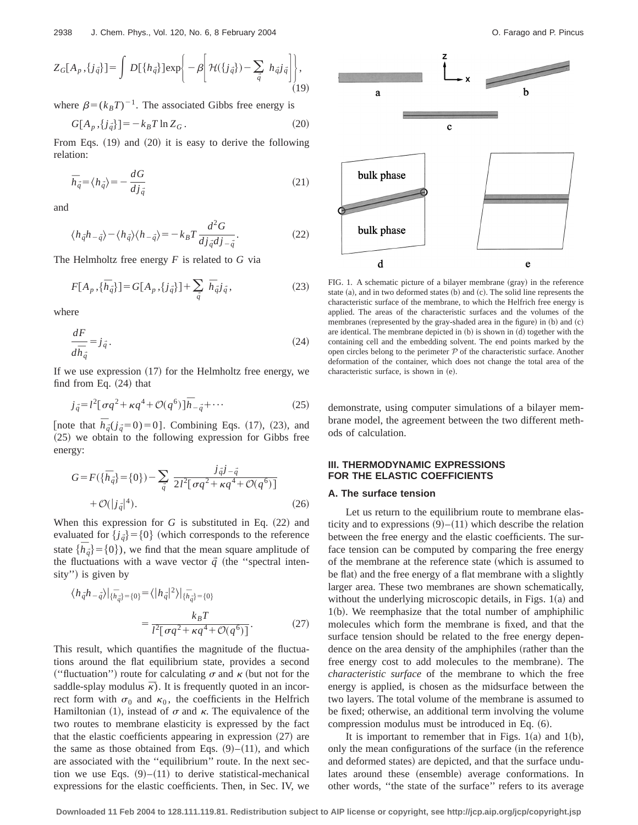$$
Z_G[A_p,\{j_{\vec{q}}\}] = \int D[\{h_{\vec{q}}\}]\exp\bigg\{-\beta\bigg[\mathcal{H}(\{j_{\vec{q}}\}) - \sum_{\vec{q}} h_{\vec{q}}j_{\vec{q}}\bigg]\bigg\},\tag{19}
$$

where  $\beta = (k_B T)^{-1}$ . The associated Gibbs free energy is

$$
G[A_p, \{j_{\vec{q}}\}] = -k_B T \ln Z_G.
$$
\n(20)

From Eqs.  $(19)$  and  $(20)$  it is easy to derive the following relation:

$$
\overline{h}_{\vec{q}} = \langle h_{\vec{q}} \rangle = -\frac{dG}{dj_{\vec{q}}}
$$
\n(21)

and

$$
\langle h_{\vec{q}}h_{-\vec{q}}\rangle - \langle h_{\vec{q}}\rangle \langle h_{-\vec{q}}\rangle = -k_B T \frac{d^2 G}{d^j \vec{q} d^j - \vec{q}}.\tag{22}
$$

The Helmholtz free energy *F* is related to *G* via

$$
F[A_p, \{\bar{h}_{\vec{q}}\}]=G[A_p, \{j_{\vec{q}}\}]+\sum_{\vec{q}}\ \bar{h}_{\vec{q}}j_{\vec{q}}\,,\tag{23}
$$

where

$$
\frac{dF}{d\bar{h}_{\vec{q}}} = j_{\vec{q}}.
$$
\n(24)

If we use expression  $(17)$  for the Helmholtz free energy, we find from Eq.  $(24)$  that

$$
j_{\vec{q}} = l^2 [\sigma q^2 + \kappa q^4 + \mathcal{O}(q^6)] \bar{h}_{-\vec{q}} + \cdots
$$
 (25)

[note that  $\bar{h}_{\vec{q}}(j_{\vec{q}}=0)=0$ ]. Combining Eqs. (17), (23), and  $(25)$  we obtain to the following expression for Gibbs free energy:

$$
G = F(\{\bar{h}_{\vec{q}}\} = \{0\}) - \sum_{\vec{q}} \frac{j_{\vec{q}}j_{-\vec{q}}}{2l^2[\sigma q^2 + \kappa q^4 + \mathcal{O}(q^6)]} + \mathcal{O}(|j_{\vec{q}}|^4). \tag{26}
$$

When this expression for  $G$  is substituted in Eq.  $(22)$  and evaluated for  ${j_{\vec{a}}} = {0}$  (which corresponds to the reference state  $\{\overline{h}_{\vec{q}}\} = \{0\}$ , we find that the mean square amplitude of the fluctuations with a wave vector  $\vec{q}$  (the "spectral inten $sity'$ ) is given by

$$
\langle h_{\vec{q}}h_{-\vec{q}} \rangle|_{\{\bar{h}_{\vec{q}}\}=\{0\}} = \langle |h_{\vec{q}}|^2 \rangle|_{\{\bar{h}_{\vec{q}}\}=\{0\}}
$$

$$
= \frac{k_B T}{l^2 [\sigma q^2 + \kappa q^4 + \mathcal{O}(q^6)]}.
$$
(27)

This result, which quantifies the magnitude of the fluctuations around the flat equilibrium state, provides a second ("fluctuation") route for calculating  $\sigma$  and  $\kappa$  (but not for the saddle-splay modulus  $\bar{k}$ ). It is frequently quoted in an incorrect form with  $\sigma_0$  and  $\kappa_0$ , the coefficients in the Helfrich Hamiltonian (1), instead of  $\sigma$  and  $\kappa$ . The equivalence of the two routes to membrane elasticity is expressed by the fact that the elastic coefficients appearing in expression  $(27)$  are the same as those obtained from Eqs.  $(9)–(11)$ , and which are associated with the ''equilibrium'' route. In the next section we use Eqs.  $(9)$ – $(11)$  to derive statistical-mechanical expressions for the elastic coefficients. Then, in Sec. IV, we



FIG. 1. A schematic picture of a bilayer membrane (gray) in the reference state  $(a)$ , and in two deformed states  $(b)$  and  $(c)$ . The solid line represents the characteristic surface of the membrane, to which the Helfrich free energy is applied. The areas of the characteristic surfaces and the volumes of the membranes (represented by the gray-shaded area in the figure) in (b) and (c) are identical. The membrane depicted in  $(b)$  is shown in  $(d)$  together with the containing cell and the embedding solvent. The end points marked by the open circles belong to the perimeter  $P$  of the characteristic surface. Another deformation of the container, which does not change the total area of the characteristic surface, is shown in  $(e)$ .

demonstrate, using computer simulations of a bilayer membrane model, the agreement between the two different methods of calculation.

## **III. THERMODYNAMIC EXPRESSIONS FOR THE ELASTIC COEFFICIENTS**

## **A. The surface tension**

Let us return to the equilibrium route to membrane elasticity and to expressions  $(9)–(11)$  which describe the relation between the free energy and the elastic coefficients. The surface tension can be computed by comparing the free energy of the membrane at the reference state (which is assumed to be flat) and the free energy of a flat membrane with a slightly larger area. These two membranes are shown schematically, without the underlying microscopic details, in Figs.  $1(a)$  and  $1(b)$ . We reemphasize that the total number of amphiphilic molecules which form the membrane is fixed, and that the surface tension should be related to the free energy dependence on the area density of the amphiphiles (rather than the free energy cost to add molecules to the membrane). The *characteristic surface* of the membrane to which the free energy is applied, is chosen as the midsurface between the two layers. The total volume of the membrane is assumed to be fixed; otherwise, an additional term involving the volume compression modulus must be introduced in Eq.  $(6)$ .

It is important to remember that in Figs.  $1(a)$  and  $1(b)$ , only the mean configurations of the surface (in the reference and deformed states) are depicted, and that the surface undulates around these (ensemble) average conformations. In other words, ''the state of the surface'' refers to its average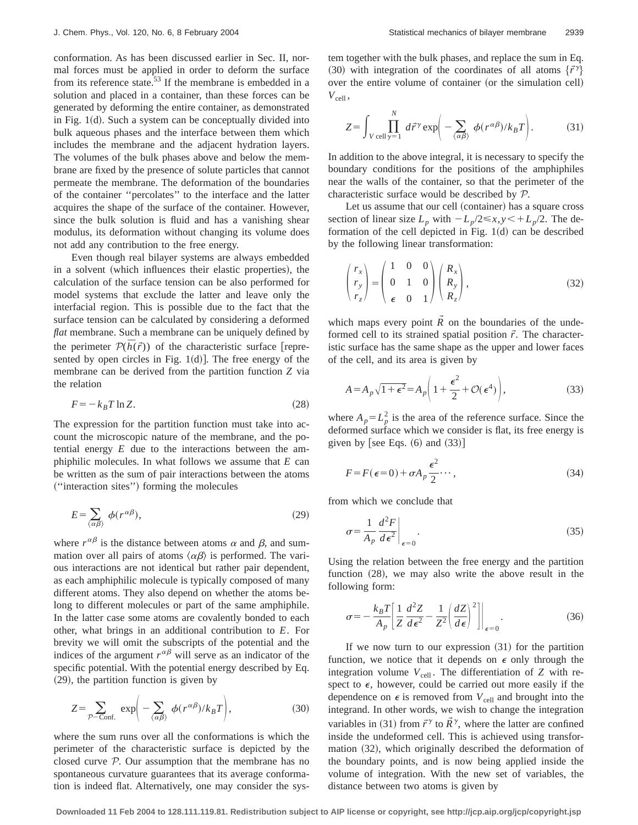conformation. As has been discussed earlier in Sec. II, normal forces must be applied in order to deform the surface from its reference state.<sup>53</sup> If the membrane is embedded in a solution and placed in a container, than these forces can be generated by deforming the entire container, as demonstrated in Fig.  $1(d)$ . Such a system can be conceptually divided into bulk aqueous phases and the interface between them which includes the membrane and the adjacent hydration layers. The volumes of the bulk phases above and below the membrane are fixed by the presence of solute particles that cannot permeate the membrane. The deformation of the boundaries of the container ''percolates'' to the interface and the latter acquires the shape of the surface of the container. However, since the bulk solution is fluid and has a vanishing shear modulus, its deformation without changing its volume does not add any contribution to the free energy.

Even though real bilayer systems are always embedded in a solvent (which influences their elastic properties), the calculation of the surface tension can be also performed for model systems that exclude the latter and leave only the interfacial region. This is possible due to the fact that the surface tension can be calculated by considering a deformed *flat* membrane. Such a membrane can be uniquely defined by the perimeter  $P(\overline{h}(\overrightarrow{r}))$  of the characteristic surface [represented by open circles in Fig.  $1(d)$ . The free energy of the membrane can be derived from the partition function *Z* via the relation

$$
F = -k_B T \ln Z. \tag{28}
$$

The expression for the partition function must take into account the microscopic nature of the membrane, and the potential energy *E* due to the interactions between the amphiphilic molecules. In what follows we assume that *E* can be written as the sum of pair interactions between the atoms ("interaction sites") forming the molecules

$$
E = \sum_{\langle \alpha \beta \rangle} \phi(r^{\alpha \beta}), \tag{29}
$$

where  $r^{\alpha\beta}$  is the distance between atoms  $\alpha$  and  $\beta$ , and summation over all pairs of atoms  $\langle \alpha \beta \rangle$  is performed. The various interactions are not identical but rather pair dependent, as each amphiphilic molecule is typically composed of many different atoms. They also depend on whether the atoms belong to different molecules or part of the same amphiphile. In the latter case some atoms are covalently bonded to each other, what brings in an additional contribution to *E*. For brevity we will omit the subscripts of the potential and the indices of the argument  $r^{\alpha\beta}$  will serve as an indicator of the specific potential. With the potential energy described by Eq.  $(29)$ , the partition function is given by

$$
Z = \sum_{\mathcal{P} - \text{Conf.}} \exp\left(-\sum_{\langle \alpha \beta \rangle} \phi(r^{\alpha \beta}) / k_B T\right),\tag{30}
$$

where the sum runs over all the conformations is which the perimeter of the characteristic surface is depicted by the closed curve P. Our assumption that the membrane has no spontaneous curvature guarantees that its average conformation is indeed flat. Alternatively, one may consider the system together with the bulk phases, and replace the sum in Eq. (30) with integration of the coordinates of all atoms  $\{\vec{r}^{\gamma}\}$ over the entire volume of container (or the simulation cell)  $V_{\text{cell}}$ 

$$
Z = \int_{V \text{ cell}} \prod_{\gamma=1}^{N} d\vec{r}^{\gamma} \exp\left(-\sum_{\langle \alpha \beta \rangle} \phi(r^{\alpha \beta}) / k_{B} T\right).
$$
 (31)

In addition to the above integral, it is necessary to specify the boundary conditions for the positions of the amphiphiles near the walls of the container, so that the perimeter of the characteristic surface would be described by P.

Let us assume that our cell (container) has a square cross section of linear size  $L_p$  with  $-L_p/2 \le x, y \le +L_p/2$ . The deformation of the cell depicted in Fig.  $1(d)$  can be described by the following linear transformation:

$$
\begin{pmatrix} r_x \\ r_y \\ r_z \end{pmatrix} = \begin{pmatrix} 1 & 0 & 0 \\ 0 & 1 & 0 \\ \epsilon & 0 & 1 \end{pmatrix} \begin{pmatrix} R_x \\ R_y \\ R_z \end{pmatrix},
$$
(32)

which maps every point  $\tilde{R}$  on the boundaries of the undeformed cell to its strained spatial position  $\vec{r}$ . The characteristic surface has the same shape as the upper and lower faces of the cell, and its area is given by

$$
A = A_p \sqrt{1 + \epsilon^2} = A_p \left( 1 + \frac{\epsilon^2}{2} + \mathcal{O}(\epsilon^4) \right),\tag{33}
$$

where  $A_p = L_p^2$  is the area of the reference surface. Since the deformed surface which we consider is flat, its free energy is given by [see Eqs.  $(6)$  and  $(33)$ ]

$$
F = F(\epsilon = 0) + \sigma A_p \frac{\epsilon^2}{2} \cdots,
$$
\n(34)

from which we conclude that

$$
\sigma = \frac{1}{A_p} \frac{d^2 F}{d\epsilon^2} \bigg|_{\epsilon=0}.
$$
\n(35)

Using the relation between the free energy and the partition function  $(28)$ , we may also write the above result in the following form:

$$
\sigma = -\frac{k_B T}{A_p} \left[ \frac{1}{Z} \frac{d^2 Z}{d\epsilon^2} - \frac{1}{Z^2} \left( \frac{dZ}{d\epsilon} \right)^2 \right] \Big|_{\epsilon=0}.
$$
 (36)

If we now turn to our expression  $(31)$  for the partition function, we notice that it depends on  $\epsilon$  only through the integration volume  $V_{cell}$ . The differentiation of *Z* with respect to  $\epsilon$ , however, could be carried out more easily if the dependence on  $\epsilon$  is removed from  $V_{\text{cell}}$  and brought into the integrand. In other words, we wish to change the integration variables in (31) from  $\vec{r}^{\gamma}$  to  $\vec{R}^{\gamma}$ , where the latter are confined inside the undeformed cell. This is achieved using transformation (32), which originally described the deformation of the boundary points, and is now being applied inside the volume of integration. With the new set of variables, the distance between two atoms is given by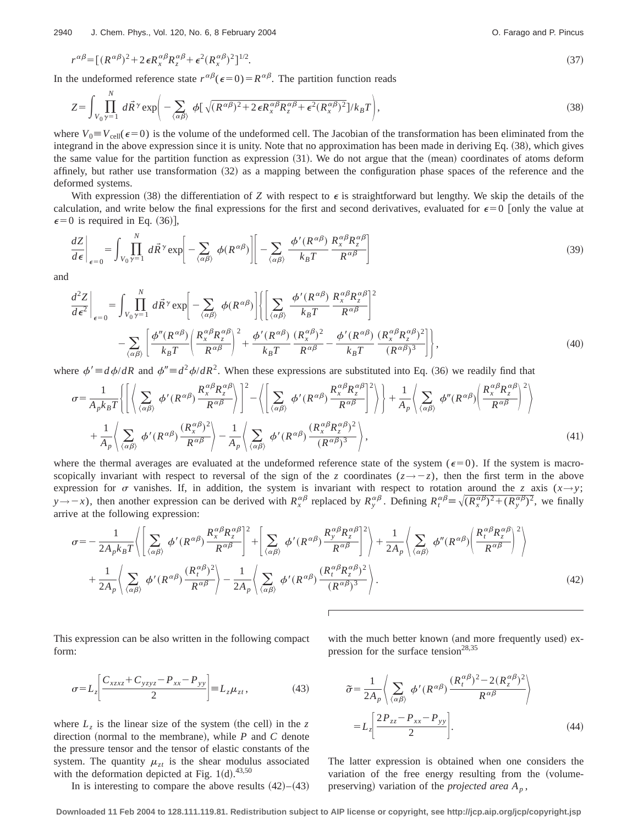$$
r^{\alpha\beta} = \left[ (R^{\alpha\beta})^2 + 2\epsilon R_x^{\alpha\beta} R_z^{\alpha\beta} + \epsilon^2 (R_x^{\alpha\beta})^2 \right]^{1/2}.
$$
\n(37)

In the undeformed reference state  $r^{\alpha\beta}$  ( $\epsilon=0$ ) =  $R^{\alpha\beta}$ . The partition function reads

$$
Z = \int_{V_0} \prod_{\gamma=1}^N d\vec{R}^{\gamma} \exp\left(-\sum_{\langle \alpha \beta \rangle} \phi \left[\sqrt{(R^{\alpha \beta})^2 + 2\epsilon R_x^{\alpha \beta} R_z^{\alpha \beta} + \epsilon^2 (R_x^{\alpha \beta})^2}\right] / k_B T\right),\tag{38}
$$

where  $V_0 \equiv V_{cell}(\epsilon=0)$  is the volume of the undeformed cell. The Jacobian of the transformation has been eliminated from the integrand in the above expression since it is unity. Note that no approximation has been made in deriving Eq.  $(38)$ , which gives the same value for the partition function as expression  $(31)$ . We do not argue that the  $(mean)$  coordinates of atoms deform affinely, but rather use transformation  $(32)$  as a mapping between the configuration phase spaces of the reference and the deformed systems.

With expression (38) the differentiation of *Z* with respect to  $\epsilon$  is straightforward but lengthy. We skip the details of the calculation, and write below the final expressions for the first and second derivatives, evaluated for  $\epsilon = 0$  [only the value at  $\epsilon$ =0 is required in Eq. (36)],

$$
\frac{dZ}{d\epsilon}\bigg|_{\epsilon=0} = \int_{V_0} \prod_{\gamma=1}^N d\vec{R}^\gamma \exp\bigg[-\sum_{\langle \alpha\beta \rangle} \phi(R^{\alpha\beta})\bigg] \bigg[-\sum_{\langle \alpha\beta \rangle} \frac{\phi'(R^{\alpha\beta})}{k_B T} \frac{R_x^{\alpha\beta} R_z^{\alpha\beta}}{R^{\alpha\beta}}\bigg]
$$
(39)

and

$$
\frac{d^2Z}{d\epsilon^2}\Big|_{\epsilon=0} = \int_{V_0} \prod_{\gamma=1}^N d\vec{R}^{\gamma} \exp\Biggl[-\sum_{\langle \alpha\beta\rangle} \phi(R^{\alpha\beta}) \Biggr] \Biggl\{ \Biggl[\sum_{\langle \alpha\beta\rangle} \frac{\phi'(R^{\alpha\beta})}{k_B T} \frac{R_x^{\alpha\beta} R_z^{\alpha\beta}}{R^{\alpha\beta}} \Biggr]^2 - \sum_{\langle \alpha\beta\rangle} \Biggl[\frac{\phi''(R^{\alpha\beta})}{k_B T} \Biggl(\frac{R_x^{\alpha\beta} R_z^{\alpha\beta}}{R^{\alpha\beta}}\Biggr)^2 + \frac{\phi'(R^{\alpha\beta})}{k_B T} \frac{(R_x^{\alpha\beta})^2}{R^{\alpha\beta}} - \frac{\phi'(R^{\alpha\beta})}{k_B T} \frac{(R_x^{\alpha\beta} R_z^{\alpha\beta})^2}{(R^{\alpha\beta})^3} \Biggr] \Biggr\},
$$
\n
$$
(40)
$$

where  $\phi' \equiv d\phi/dR$  and  $\phi'' \equiv d^2\phi/dR^2$ . When these expressions are substituted into Eq. (36) we readily find that

$$
\sigma = \frac{1}{A_p k_B T} \Biggl\{ \Biggl[ \Biggl\langle \sum_{\langle \alpha \beta \rangle} \phi'(R^{\alpha \beta}) \frac{R_x^{\alpha \beta} R_z^{\alpha \beta}}{R^{\alpha \beta}} \Biggr\rangle \Biggr]^2 - \Biggl\langle \Biggl[ \sum_{\langle \alpha \beta \rangle} \phi'(R^{\alpha \beta}) \frac{R_x^{\alpha \beta} R_z^{\alpha \beta}}{R^{\alpha \beta}} \Biggr]^2 \Biggr\rangle \Biggr\} + \frac{1}{A_p} \Biggl\langle \sum_{\langle \alpha \beta \rangle} \phi''(R^{\alpha \beta}) \Biggl( \frac{R_x^{\alpha \beta} R_z^{\alpha \beta}}{R^{\alpha \beta}} \Biggr)^2 \Biggr\rangle + \frac{1}{A_p} \Biggl\langle \sum_{\langle \alpha \beta \rangle} \phi''(R^{\alpha \beta}) \Biggl( \frac{R_x^{\alpha \beta} R_z^{\alpha \beta}}{R^{\alpha \beta}} \Biggr)^2 \Biggr\rangle + \frac{1}{A_p} \Biggl\langle \sum_{\langle \alpha \beta \rangle} \phi''(R^{\alpha \beta}) \frac{R_x^{\alpha \beta} R_z^{\alpha \beta}}{R^{\alpha \beta}} \Biggr\rangle^2 \Biggr\rangle \tag{41}
$$

where the thermal averages are evaluated at the undeformed reference state of the system ( $\epsilon=0$ ). If the system is macroscopically invariant with respect to reversal of the sign of the *z* coordinates ( $z \rightarrow -z$ ), then the first term in the above expression for  $\sigma$  vanishes. If, in addition, the system is invariant with respect to rotation around the *z* axis ( $x \rightarrow y$ ; *y*→-*x*), then another expression can be derived with  $R_x^{\alpha\beta}$  replaced by  $R_y^{\alpha\beta}$ . Defining  $R_t^{\alpha\beta} = \sqrt{(R_x^{\alpha\beta})^2 + (R_y^{\alpha\beta})^2}$ , we finally arrive at the following expression:

$$
\sigma = -\frac{1}{2A_p k_B T} \left\langle \left[ \sum_{\langle \alpha \beta \rangle} \phi'(R^{\alpha \beta}) \frac{R_x^{\alpha \beta} R_z^{\alpha \beta}}{R^{\alpha \beta}} \right]^2 + \left[ \sum_{\langle \alpha \beta \rangle} \phi'(R^{\alpha \beta}) \frac{R_y^{\alpha \beta} R_z^{\alpha \beta}}{R^{\alpha \beta}} \right]^2 \right\rangle + \frac{1}{2A_p} \left\langle \sum_{\langle \alpha \beta \rangle} \phi''(R^{\alpha \beta}) \left( \frac{R_t^{\alpha \beta} R_z^{\alpha \beta}}{R^{\alpha \beta}} \right)^2 \right\rangle
$$

$$
+ \frac{1}{2A_p} \left\langle \sum_{\langle \alpha \beta \rangle} \phi'(R^{\alpha \beta}) \frac{(R_t^{\alpha \beta})^2}{R^{\alpha \beta}} \right\rangle - \frac{1}{2A_p} \left\langle \sum_{\langle \alpha \beta \rangle} \phi'(R^{\alpha \beta}) \frac{(R_t^{\alpha \beta} R_z^{\alpha \beta})^2}{(R^{\alpha \beta})^3} \right\rangle.
$$
(42)

This expression can be also written in the following compact form:

$$
\sigma = L_z \left[ \frac{C_{xzxz} + C_{yzyz} - P_{xx} - P_{yy}}{2} \right] = L_z \mu_{zt},
$$
\n(43)

where  $L_z$  is the linear size of the system (the cell) in the z direction (normal to the membrane), while  $P$  and  $C$  denote the pressure tensor and the tensor of elastic constants of the system. The quantity  $\mu_{zt}$  is the shear modulus associated with the deformation depicted at Fig. 1(d). $43,50$ 

In is interesting to compare the above results  $(42)–(43)$ 

with the much better known (and more frequently used) expression for the surface tension<sup>28,35</sup>

$$
\tilde{\sigma} = \frac{1}{2A_p} \left\langle \sum_{\langle \alpha \beta \rangle} \phi'(R^{\alpha \beta}) \frac{(R_i^{\alpha \beta})^2 - 2(R_i^{\alpha \beta})^2}{R^{\alpha \beta}} \right\rangle
$$

$$
= L_z \left[ \frac{2P_{zz} - P_{xx} - P_{yy}}{2} \right].
$$
(44)

The latter expression is obtained when one considers the variation of the free energy resulting from the (volumepreserving) variation of the *projected area*  $A_p$ ,

**Downloaded 11 Feb 2004 to 128.111.119.81. Redistribution subject to AIP license or copyright, see http://jcp.aip.org/jcp/copyright.jsp**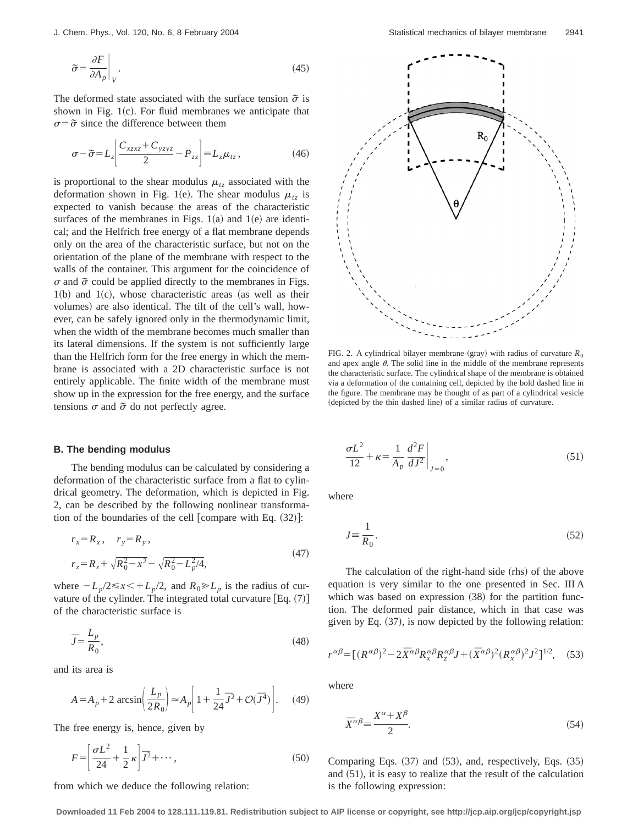$$
\tilde{\sigma} = \frac{\partial F}{\partial A_p} \bigg|_V . \tag{45}
$$

The deformed state associated with the surface tension  $\tilde{\sigma}$  is shown in Fig.  $1(c)$ . For fluid membranes we anticipate that  $\sigma = \tilde{\sigma}$  since the difference between them

$$
\sigma - \tilde{\sigma} = L_z \left[ \frac{C_{xzxz} + C_{yzyz}}{2} - P_{zz} \right] = L_z \mu_{tz}, \qquad (46)
$$

is proportional to the shear modulus  $\mu_{tz}$  associated with the deformation shown in Fig. 1(e). The shear modulus  $\mu_{tz}$  is expected to vanish because the areas of the characteristic surfaces of the membranes in Figs.  $1(a)$  and  $1(e)$  are identical; and the Helfrich free energy of a flat membrane depends only on the area of the characteristic surface, but not on the orientation of the plane of the membrane with respect to the walls of the container. This argument for the coincidence of  $\sigma$  and  $\tilde{\sigma}$  could be applied directly to the membranes in Figs.  $1(b)$  and  $1(c)$ , whose characteristic areas (as well as their volumes) are also identical. The tilt of the cell's wall, however, can be safely ignored only in the thermodynamic limit, when the width of the membrane becomes much smaller than its lateral dimensions. If the system is not sufficiently large than the Helfrich form for the free energy in which the membrane is associated with a 2D characteristic surface is not entirely applicable. The finite width of the membrane must show up in the expression for the free energy, and the surface tensions  $\sigma$  and  $\tilde{\sigma}$  do not perfectly agree.

#### **B. The bending modulus**

The bending modulus can be calculated by considering a deformation of the characteristic surface from a flat to cylindrical geometry. The deformation, which is depicted in Fig. 2, can be described by the following nonlinear transformation of the boundaries of the cell  $[compare with Eq. (32)]$ :

$$
r_x = R_x, \quad r_y = R_y,
$$
  
\n
$$
r_z = R_z + \sqrt{R_0^2 - x^2} - \sqrt{R_0^2 - L_p^2/4},
$$
\n(47)

where  $-L_p/2 \le x \le +L_p/2$ , and  $R_0 \ge L_p$  is the radius of curvature of the cylinder. The integrated total curvature  $Eq. (7)$ of the characteristic surface is

$$
\bar{J} = \frac{L_p}{R_0},\tag{48}
$$

and its area is

$$
A = A_p + 2 \arcsin\left(\frac{L_p}{2R_0}\right) \approx A_p \left[1 + \frac{1}{24}\overline{J}^2 + \mathcal{O}(\overline{J}^4)\right].
$$
 (49)

The free energy is, hence, given by

$$
F = \left[\frac{\sigma L^2}{24} + \frac{1}{2}\kappa\right] \overline{J}^2 + \cdots,\tag{50}
$$

from which we deduce the following relation:



FIG. 2. A cylindrical bilayer membrane (gray) with radius of curvature  $R_0$ and apex angle  $\theta$ . The solid line in the middle of the membrane represents the characteristic surface. The cylindrical shape of the membrane is obtained via a deformation of the containing cell, depicted by the bold dashed line in the figure. The membrane may be thought of as part of a cylindrical vesicle (depicted by the thin dashed line) of a similar radius of curvature.

$$
\frac{\sigma L^2}{12} + \kappa = \frac{1}{A_p} \frac{d^2 F}{dJ^2} \bigg|_{J=0},
$$
\n(51)

where

$$
J \equiv \frac{1}{R_0}.\tag{52}
$$

The calculation of the right-hand side (rhs) of the above equation is very similar to the one presented in Sec. III A which was based on expression  $(38)$  for the partition function. The deformed pair distance, which in that case was given by Eq.  $(37)$ , is now depicted by the following relation:

$$
r^{\alpha\beta} = \left[ (R^{\alpha\beta})^2 - 2\bar{X}^{\alpha\beta} R_x^{\alpha\beta} R_z^{\alpha\beta} J + (\bar{X}^{\alpha\beta})^2 (R_x^{\alpha\beta})^2 J^2 \right]^{1/2}, \quad (53)
$$

where

$$
\bar{X}^{\alpha\beta} = \frac{X^{\alpha} + X^{\beta}}{2}.
$$
\n(54)

Comparing Eqs.  $(37)$  and  $(53)$ , and, respectively, Eqs.  $(35)$ and  $(51)$ , it is easy to realize that the result of the calculation is the following expression: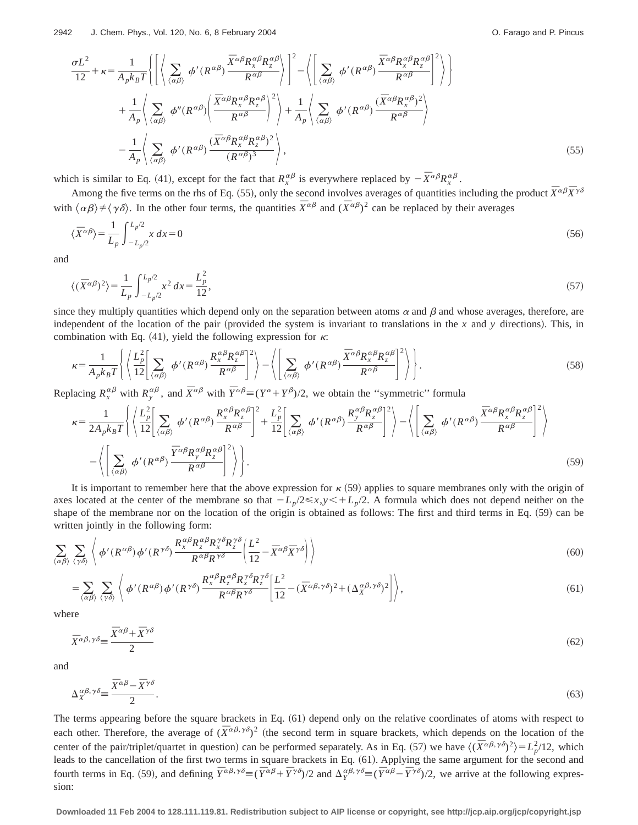$$
\frac{\sigma L^2}{12} + \kappa = \frac{1}{A_p k_B T} \Biggl\{ \Biggl[ \Biggl\langle \sum_{\langle \alpha \beta \rangle} \phi'(R^{\alpha \beta}) \frac{\bar{X}^{\alpha \beta} R_x^{\alpha \beta} R_z^{\alpha \beta}}{R^{\alpha \beta}} \Biggr\rangle \Biggr]^2 - \Biggl\langle \Biggl[ \sum_{\langle \alpha \beta \rangle} \phi'(R^{\alpha \beta}) \frac{\bar{X}^{\alpha \beta} R_x^{\alpha \beta} R_z^{\alpha \beta}}{R^{\alpha \beta}} \Biggr]^2 \Biggr\rangle \Biggr\} + \frac{1}{A_p} \Biggl\langle \sum_{\langle \alpha \beta \rangle} \phi''(R^{\alpha \beta}) \Biggl( \frac{\bar{X}^{\alpha \beta} R_x^{\alpha \beta} R_z^{\alpha \beta}}{R^{\alpha \beta}} \Biggr)^2 \Biggr\rangle + \frac{1}{A_p} \Biggl\langle \sum_{\langle \alpha \beta \rangle} \phi'(R^{\alpha \beta}) \frac{(\bar{X}^{\alpha \beta} R_x^{\alpha \beta})^2}{R^{\alpha \beta}} \Biggr\rangle - \frac{1}{A_p} \Biggl\langle \sum_{\langle \alpha \beta \rangle} \phi'(R^{\alpha \beta}) \frac{(\bar{X}^{\alpha \beta} R_x^{\alpha \beta} R_z^{\alpha \beta})^2}{(R^{\alpha \beta})^3} \Biggr\rangle, \tag{55}
$$

which is similar to Eq. (41), except for the fact that  $R_x^{\alpha\beta}$  is everywhere replaced by  $-\bar{X}^{\alpha\beta}R_x^{\alpha\beta}$ .

Among the five terms on the rhs of Eq. (55), only the second involves averages of quantities including the product  $\bar{X}^{\alpha\beta}\bar{X}^{\gamma\delta}$ with  $\langle \alpha \beta \rangle \neq \langle \gamma \delta \rangle$ . In the other four terms, the quantities  $\bar{X}^{\alpha\beta}$  and  $(\bar{X}^{\alpha\beta})^2$  can be replaced by their averages

$$
\langle \overline{X}^{\alpha\beta} \rangle = \frac{1}{L_p} \int_{-L_p/2}^{L_p/2} x \, dx = 0 \tag{56}
$$

and

$$
\langle (\bar{X}^{\alpha\beta})^2 \rangle = \frac{1}{L_p} \int_{-L_p/2}^{L_p/2} x^2 dx = \frac{L_p^2}{12},\tag{57}
$$

since they multiply quantities which depend only on the separation between atoms  $\alpha$  and  $\beta$  and whose averages, therefore, are independent of the location of the pair (provided the system is invariant to translations in the  $x$  and  $y$  directions). This, in combination with Eq. (41), yield the following expression for  $\kappa$ :

$$
\kappa = \frac{1}{A_p k_B T} \left\{ \left\langle \frac{L_p^2}{12} \right| \sum_{\langle \alpha \beta \rangle} \phi'(R^{\alpha \beta}) \frac{R_x^{\alpha \beta} R_z^{\alpha \beta}}{R^{\alpha \beta}} \right|^2 \right\} - \left\langle \left[ \sum_{\langle \alpha \beta \rangle} \phi'(R^{\alpha \beta}) \frac{\bar{X}^{\alpha \beta} R_x^{\alpha \beta} R_z^{\alpha \beta}}{R^{\alpha \beta}} \right]^2 \right\rangle \right\}.
$$
 (58)

Replacing  $R_x^{\alpha\beta}$  with  $R_y^{\alpha\beta}$ , and  $\bar{X}^{\alpha\beta}$  with  $\bar{Y}^{\alpha\beta} = (Y^{\alpha} + Y^{\beta})/2$ , we obtain the "symmetric" formula

$$
\kappa = \frac{1}{2A_{p}k_{B}T} \left\{ \left\langle \frac{L_{p}^{2}}{12} \right| \sum_{\langle \alpha\beta\rangle} \phi'(R^{\alpha\beta}) \frac{R_{x}^{\alpha\beta}R_{z}^{\alpha\beta}}{R^{\alpha\beta}} \right|^{2} + \frac{L_{p}^{2}}{12} \left[ \sum_{\langle \alpha\beta\rangle} \phi'(R^{\alpha\beta}) \frac{R_{y}^{\alpha\beta}R_{z}^{\alpha\beta}}{R^{\alpha\beta}} \right]^{2} \right\rangle - \left\langle \left[ \sum_{\langle \alpha\beta\rangle} \phi'(R^{\alpha\beta}) \frac{\bar{X}^{\alpha\beta}R_{x}^{\alpha\beta}R_{z}^{\alpha\beta}}{R^{\alpha\beta}} \right]^{2} \right\rangle - \left\langle \left[ \sum_{\langle \alpha\beta\rangle} \phi'(R^{\alpha\beta}) \frac{\bar{X}^{\alpha\beta}R_{x}^{\alpha\beta}R_{z}^{\alpha\beta}}{R^{\alpha\beta}} \right]^{2} \right\rangle \right\}.
$$
\n
$$
(59)
$$

It is important to remember here that the above expression for  $\kappa$  (59) applies to square membranes only with the origin of axes located at the center of the membrane so that  $-L_p/2 \le x, y \le + L_p/2$ . A formula which does not depend neither on the shape of the membrane nor on the location of the origin is obtained as follows: The first and third terms in Eq. (59) can be written jointly in the following form:

$$
\sum_{\langle\alpha\beta\rangle}\sum_{\langle\gamma\delta\rangle}\left\langle\phi'(R^{\alpha\beta})\phi'(R^{\gamma\delta})\frac{R_x^{\alpha\beta}R_z^{\gamma\delta}R_x^{\gamma\delta}}{R^{\alpha\beta}R^{\gamma\delta}}\left(\frac{L^2}{12}-\bar{X}^{\alpha\beta}\bar{X}^{\gamma\delta}\right)\right\rangle\tag{60}
$$

$$
=\sum_{\langle\alpha\beta\rangle}\sum_{\langle\gamma\delta\rangle}\left\langle\phi'(R^{\alpha\beta})\phi'(R^{\gamma\delta})\frac{R_x^{\alpha\beta}R_z^{\gamma\delta}R_x^{\gamma\delta}R_z^{\gamma\delta}}{R^{\alpha\beta}R^{\gamma\delta}}\bigg[\frac{L^2}{12}-(\bar{X}^{\alpha\beta,\gamma\delta})^2+(\Delta_X^{\alpha\beta,\gamma\delta})^2\bigg]\right\rangle,\tag{61}
$$

where

$$
\bar{X}^{\alpha\beta,\gamma\delta} = \frac{\bar{X}^{\alpha\beta} + \bar{X}^{\gamma\delta}}{2} \tag{62}
$$

and

$$
\Delta_{X}^{\alpha\beta,\gamma\delta} = \frac{\bar{X}^{\alpha\beta} - \bar{X}^{\gamma\delta}}{2}.
$$
\n(63)

The terms appearing before the square brackets in Eq.  $(61)$  depend only on the relative coordinates of atoms with respect to each other. Therefore, the average of  $(\bar{X}^{\alpha\beta,\gamma\delta})^2$  (the second term in square brackets, which depends on the location of the center of the pair/triplet/quartet in question) can be performed separately. As in Eq. (57) we have  $\langle (\bar{X}^{\alpha\beta,\gamma\delta})^2 \rangle = L_p^2/12$ , which leads to the cancellation of the first two terms in square brackets in Eq. (61). Applying the same argument for the second and fourth terms in Eq. (59), and defining  $\bar{Y}^{\alpha\beta,\gamma\delta} = (\bar{Y}^{\alpha\beta} + \bar{Y}^{\gamma\delta})/2$  and  $\Delta_Y^{\alpha\beta,\gamma\delta} = (\bar{Y}^{\alpha\beta} - \bar{Y}^{\gamma\delta})/2$ , we arrive at the following expression: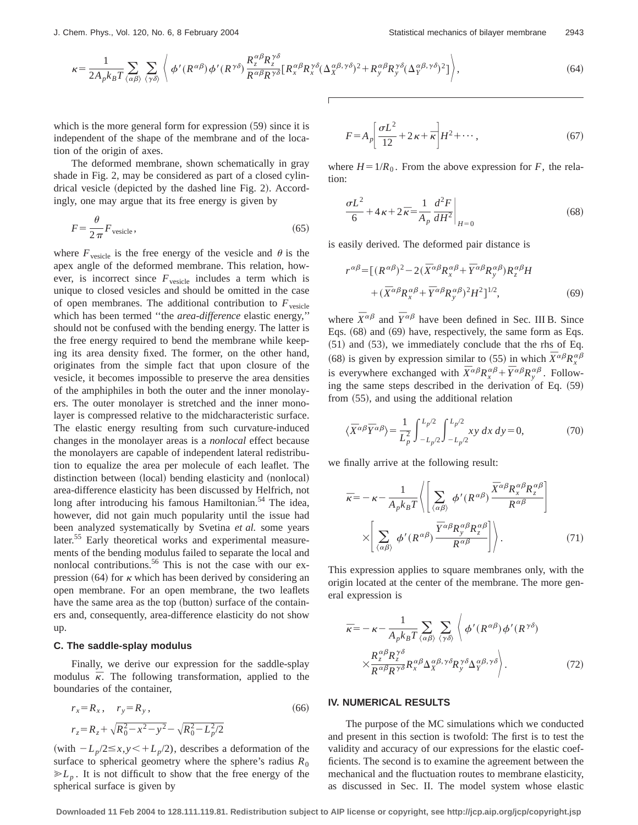$$
\kappa = \frac{1}{2A_p k_B T} \sum_{\langle \alpha \beta \rangle} \sum_{\langle \gamma \delta \rangle} \left\langle \phi'(R^{\alpha \beta}) \phi'(R^{\gamma \delta}) \frac{R_z^{\alpha \beta} R_z^{\gamma \delta}}{R^{\alpha \beta} R^{\gamma \delta}} [R_x^{\alpha \beta} R_x^{\gamma \delta} (\Delta_x^{\alpha \beta, \gamma \delta})^2 + R_y^{\alpha \beta} R_y^{\gamma \delta} (\Delta_x^{\alpha \beta, \gamma \delta})^2] \right\rangle, \tag{64}
$$

which is the more general form for expression  $(59)$  since it is independent of the shape of the membrane and of the location of the origin of axes.

The deformed membrane, shown schematically in gray shade in Fig. 2, may be considered as part of a closed cylindrical vesicle (depicted by the dashed line Fig. 2). Accordingly, one may argue that its free energy is given by

$$
F = \frac{\theta}{2\pi} F_{\text{vesicle}},\tag{65}
$$

where  $F_{\text{vesicle}}$  is the free energy of the vesicle and  $\theta$  is the apex angle of the deformed membrane. This relation, however, is incorrect since  $F_{\text{vesicle}}$  includes a term which is unique to closed vesicles and should be omitted in the case of open membranes. The additional contribution to  $F_{\text{vesicle}}$ which has been termed ''the *area-difference* elastic energy,'' should not be confused with the bending energy. The latter is the free energy required to bend the membrane while keeping its area density fixed. The former, on the other hand, originates from the simple fact that upon closure of the vesicle, it becomes impossible to preserve the area densities of the amphiphiles in both the outer and the inner monolayers. The outer monolayer is stretched and the inner monolayer is compressed relative to the midcharacteristic surface. The elastic energy resulting from such curvature-induced changes in the monolayer areas is a *nonlocal* effect because the monolayers are capable of independent lateral redistribution to equalize the area per molecule of each leaflet. The distinction between (local) bending elasticity and (nonlocal) area-difference elasticity has been discussed by Helfrich, not long after introducing his famous Hamiltonian.<sup>54</sup> The idea, however, did not gain much popularity until the issue had been analyzed systematically by Svetina *et al.* some years later.<sup>55</sup> Early theoretical works and experimental measurements of the bending modulus failed to separate the local and nonlocal contributions.<sup>56</sup> This is not the case with our expression (64) for  $\kappa$  which has been derived by considering an open membrane. For an open membrane, the two leaflets have the same area as the top (button) surface of the containers and, consequently, area-difference elasticity do not show up.

## **C. The saddle-splay modulus**

Finally, we derive our expression for the saddle-splay modulus  $\bar{\kappa}$ . The following transformation, applied to the boundaries of the container,

$$
r_x = R_x, \quad r_y = R_y,
$$
  
\n
$$
r_z = R_z + \sqrt{R_0^2 - x^2 - y^2} - \sqrt{R_0^2 - L_p^2/2}
$$
\n(66)

(with  $-L_p/2 \le x, y \le +L_p/2$ ), describes a deformation of the surface to spherical geometry where the sphere's radius  $R_0$  $\gg L_p$ . It is not difficult to show that the free energy of the spherical surface is given by

$$
F = A_p \left[ \frac{\sigma L^2}{12} + 2\,\kappa + \overline{\kappa} \right] H^2 + \cdots,\tag{67}
$$

where  $H=1/R_0$ . From the above expression for *F*, the relation:

$$
\frac{\sigma L^2}{6} + 4\kappa + 2\bar{\kappa} = \frac{1}{A_p} \frac{d^2 F}{dH^2}\bigg|_{H=0}
$$
\n(68)

is easily derived. The deformed pair distance is

$$
r^{\alpha\beta} = [(R^{\alpha\beta})^2 - 2(\bar{X}^{\alpha\beta}R_x^{\alpha\beta} + \bar{Y}^{\alpha\beta}R_y^{\alpha\beta})R_z^{\alpha\beta}H
$$

$$
+ (\bar{X}^{\alpha\beta}R_x^{\alpha\beta} + \bar{Y}^{\alpha\beta}R_y^{\alpha\beta})^2H^2]^{1/2},
$$
(69)

where  $\bar{X}^{\alpha\beta}$  and  $\bar{Y}^{\alpha\beta}$  have been defined in Sec. III B. Since Eqs.  $(68)$  and  $(69)$  have, respectively, the same form as Eqs.  $(51)$  and  $(53)$ , we immediately conclude that the rhs of Eq. (68) is given by expression similar to (55) in which  $\bar{X}^{\alpha\beta}R_{x}^{\alpha\beta}$ is everywhere exchanged with  $\bar{X}^{\alpha\beta}R_{x}^{\alpha\beta} + \bar{Y}^{\alpha\beta}R_{y}^{\alpha\beta}$ . Following the same steps described in the derivation of Eq.  $(59)$ from  $(55)$ , and using the additional relation

$$
\langle \overline{X}^{\alpha\beta} \overline{Y}^{\alpha\beta} \rangle = \frac{1}{L_p^2} \int_{-L_p/2}^{L_p/2} \int_{-L_p/2}^{L_p/2} xy \, dx \, dy = 0,\tag{70}
$$

we finally arrive at the following result:

$$
\overline{\kappa} = -\kappa - \frac{1}{A_p k_B T} \left\langle \left[ \sum_{\langle \alpha \beta \rangle} \phi'(R^{\alpha \beta}) \frac{\overline{X}^{\alpha \beta} R_x^{\alpha \beta} R_z^{\alpha \beta}}{R^{\alpha \beta}} \right] \times \left[ \sum_{\langle \alpha \beta \rangle} \phi'(R^{\alpha \beta}) \frac{\overline{Y}^{\alpha \beta} R_y^{\alpha \beta} R_z^{\alpha \beta}}{R^{\alpha \beta}} \right] \right\rangle. \tag{71}
$$

This expression applies to square membranes only, with the origin located at the center of the membrane. The more general expression is

$$
\overline{\kappa} = -\kappa - \frac{1}{A_p k_B T} \sum_{\langle \alpha \beta \rangle} \sum_{\langle \gamma \delta \rangle} \left\langle \phi'(R^{\alpha \beta}) \phi'(R^{\gamma \delta}) \right. \n\times \frac{R_z^{\alpha \beta} R_z^{\gamma \delta}}{R^{\alpha \beta} R^{\gamma \delta}} R_x^{\alpha \beta} \Delta_X^{\alpha \beta, \gamma \delta} R_y^{\gamma \delta} \Delta_Y^{\alpha \beta, \gamma \delta} \left. \right\rangle. \tag{72}
$$

#### **IV. NUMERICAL RESULTS**

The purpose of the MC simulations which we conducted and present in this section is twofold: The first is to test the validity and accuracy of our expressions for the elastic coefficients. The second is to examine the agreement between the mechanical and the fluctuation routes to membrane elasticity, as discussed in Sec. II. The model system whose elastic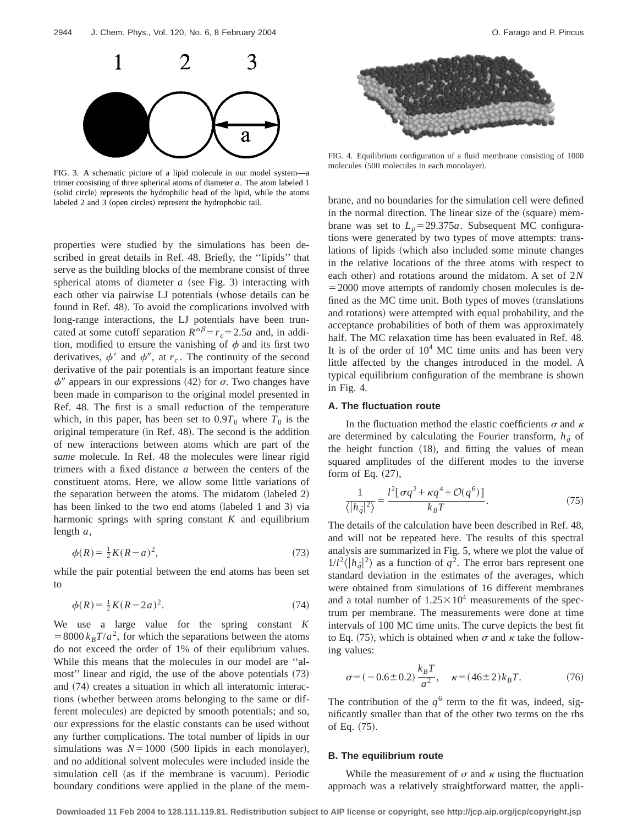

FIG. 3. A schematic picture of a lipid molecule in our model system—a trimer consisting of three spherical atoms of diameter *a*. The atom labeled 1 (solid circle) represents the hydrophilic head of the lipid, while the atoms labeled 2 and 3 (open circles) represent the hydrophobic tail.

properties were studied by the simulations has been described in great details in Ref. 48. Briefly, the ''lipids'' that serve as the building blocks of the membrane consist of three spherical atoms of diameter  $a$  (see Fig. 3) interacting with each other via pairwise LJ potentials (whose details can be found in Ref. 48). To avoid the complications involved with long-range interactions, the LJ potentials have been truncated at some cutoff separation  $R^{\alpha\beta} = r_c = 2.5a$  and, in addition, modified to ensure the vanishing of  $\phi$  and its first two derivatives,  $\phi'$  and  $\phi''$ , at  $r_c$ . The continuity of the second derivative of the pair potentials is an important feature since  $\phi''$  appears in our expressions (42) for  $\sigma$ . Two changes have been made in comparison to the original model presented in Ref. 48. The first is a small reduction of the temperature which, in this paper, has been set to  $0.9T_0$  where  $T_0$  is the original temperature (in Ref.  $48$ ). The second is the addition of new interactions between atoms which are part of the *same* molecule. In Ref. 48 the molecules were linear rigid trimers with a fixed distance *a* between the centers of the constituent atoms. Here, we allow some little variations of the separation between the atoms. The midatom  $(labeled 2)$ has been linked to the two end atoms (labeled 1 and 3) via harmonic springs with spring constant *K* and equilibrium length *a*,

$$
\phi(R) = \frac{1}{2}K(R - a)^2,\tag{73}
$$

while the pair potential between the end atoms has been set to

$$
\phi(R) = \frac{1}{2}K(R - 2a)^2.
$$
\n(74)

We use a large value for the spring constant *K*  $=8000 k_B T/a^2$ , for which the separations between the atoms do not exceed the order of 1% of their equlibrium values. While this means that the molecules in our model are ''almost" linear and rigid, the use of the above potentials  $(73)$ and  $(74)$  creates a situation in which all interatomic interactions (whether between atoms belonging to the same or different molecules) are depicted by smooth potentials; and so, our expressions for the elastic constants can be used without any further complications. The total number of lipids in our simulations was  $N=1000$  (500 lipids in each monolayer), and no additional solvent molecules were included inside the simulation cell (as if the membrane is vacuum). Periodic boundary conditions were applied in the plane of the mem-



FIG. 4. Equilibrium configuration of a fluid membrane consisting of 1000 molecules (500 molecules in each monolayer).

brane, and no boundaries for the simulation cell were defined in the normal direction. The linear size of the (square) membrane was set to  $L_p = 29.375a$ . Subsequent MC configurations were generated by two types of move attempts: translations of lipids (which also included some minute changes in the relative locations of the three atoms with respect to each other) and rotations around the midatom. A set of 2*N*  $=2000$  move attempts of randomly chosen molecules is defined as the MC time unit. Both types of moves (translations and rotations) were attempted with equal probability, and the acceptance probabilities of both of them was approximately half. The MC relaxation time has been evaluated in Ref. 48. It is of the order of  $10^4$  MC time units and has been very little affected by the changes introduced in the model. A typical equilibrium configuration of the membrane is shown in Fig. 4.

## **A. The fluctuation route**

In the fluctuation method the elastic coefficients  $\sigma$  and  $\kappa$ are determined by calculating the Fourier transform,  $h_d$  of the height function  $(18)$ , and fitting the values of mean squared amplitudes of the different modes to the inverse form of Eq.  $(27)$ ,

$$
\frac{1}{\langle |h_{\tilde{q}}|^2 \rangle} = \frac{l^2 [\sigma q^2 + \kappa q^4 + \mathcal{O}(q^6)]}{k_B T}.
$$
 (75)

The details of the calculation have been described in Ref. 48, and will not be repeated here. The results of this spectral analysis are summarized in Fig. 5, where we plot the value of  $1/l^2 \langle |h_{\vec{q}}|^2 \rangle$  as a function of  $q^2$ . The error bars represent one standard deviation in the estimates of the averages, which were obtained from simulations of 16 different membranes and a total number of  $1.25 \times 10^4$  measurements of the spectrum per membrane. The measurements were done at time intervals of 100 MC time units. The curve depicts the best fit to Eq. (75), which is obtained when  $\sigma$  and  $\kappa$  take the following values:

$$
\sigma = (-0.6 \pm 0.2) \frac{k_B T}{a^2}, \quad \kappa = (46 \pm 2)k_B T. \tag{76}
$$

The contribution of the  $q^6$  term to the fit was, indeed, significantly smaller than that of the other two terms on the rhs of Eq.  $(75)$ .

## **B. The equilibrium route**

While the measurement of  $\sigma$  and  $\kappa$  using the fluctuation approach was a relatively straightforward matter, the appli-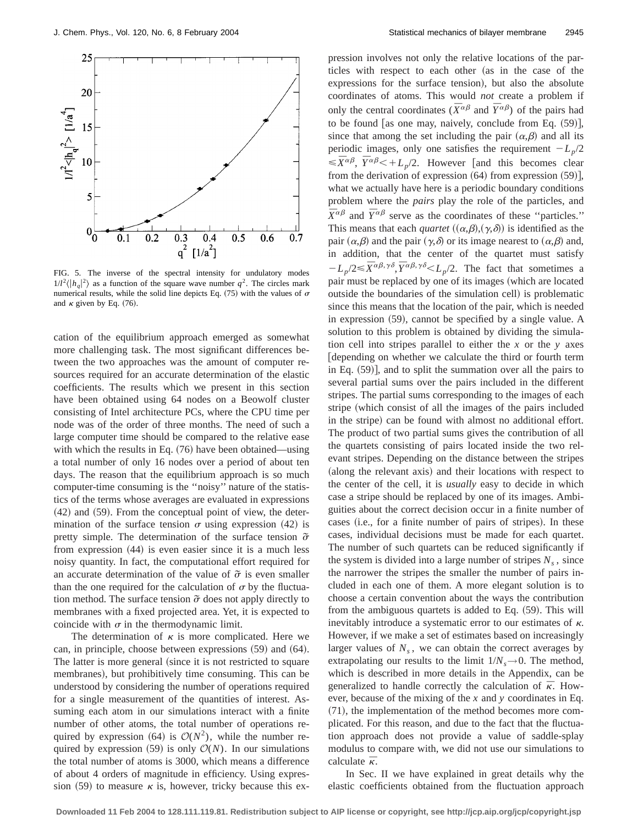

FIG. 5. The inverse of the spectral intensity for undulatory modes  $1/l^2 \langle |h_q|^2 \rangle$  as a function of the square wave number  $q^2$ . The circles mark numerical results, while the solid line depicts Eq. (75) with the values of  $\sigma$ and  $\kappa$  given by Eq. (76).

cation of the equilibrium approach emerged as somewhat more challenging task. The most significant differences between the two approaches was the amount of computer resources required for an accurate determination of the elastic coefficients. The results which we present in this section have been obtained using 64 nodes on a Beowolf cluster consisting of Intel architecture PCs, where the CPU time per node was of the order of three months. The need of such a large computer time should be compared to the relative ease with which the results in Eq.  $(76)$  have been obtained—using a total number of only 16 nodes over a period of about ten days. The reason that the equilibrium approach is so much computer-time consuming is the ''noisy'' nature of the statistics of the terms whose averages are evaluated in expressions  $(42)$  and  $(59)$ . From the conceptual point of view, the determination of the surface tension  $\sigma$  using expression (42) is pretty simple. The determination of the surface tension  $\tilde{\sigma}$ from expression  $(44)$  is even easier since it is a much less noisy quantity. In fact, the computational effort required for an accurate determination of the value of  $\tilde{\sigma}$  is even smaller than the one required for the calculation of  $\sigma$  by the fluctuation method. The surface tension  $\tilde{\sigma}$  does not apply directly to membranes with a fixed projected area. Yet, it is expected to coincide with  $\sigma$  in the thermodynamic limit.

The determination of  $\kappa$  is more complicated. Here we can, in principle, choose between expressions  $(59)$  and  $(64)$ . The latter is more general (since it is not restricted to square membranes), but prohibitively time consuming. This can be understood by considering the number of operations required for a single measurement of the quantities of interest. Assuming each atom in our simulations interact with a finite number of other atoms, the total number of operations required by expression  $(64)$  is  $\mathcal{O}(N^2)$ , while the number required by expression  $(59)$  is only  $\mathcal{O}(N)$ . In our simulations the total number of atoms is 3000, which means a difference of about 4 orders of magnitude in efficiency. Using expression (59) to measure  $\kappa$  is, however, tricky because this expression involves not only the relative locations of the particles with respect to each other (as in the case of the expressions for the surface tension), but also the absolute coordinates of atoms. This would *not* create a problem if only the central coordinates ( $\bar{X}^{\alpha\beta}$  and  $\bar{Y}^{\alpha\beta}$ ) of the pairs had to be found [as one may, naively, conclude from Eq.  $(59)$ ], since that among the set including the pair  $(\alpha, \beta)$  and all its periodic images, only one satisfies the requirement  $-L_p/2$  $\leq \bar{X}^{\alpha\beta}$ ,  $\bar{Y}^{\alpha\beta} < +L_p/2$ . However [and this becomes clear from the derivation of expression  $(64)$  from expression  $(59)$ ], what we actually have here is a periodic boundary conditions problem where the *pairs* play the role of the particles, and  $\overline{X}^{\alpha\beta}$  and  $\overline{Y}^{\alpha\beta}$  serve as the coordinates of these "particles." This means that each *quartet*  $((\alpha,\beta),(\gamma,\delta))$  is identified as the pair  $(\alpha,\beta)$  and the pair  $(\gamma,\delta)$  or its image nearest to  $(\alpha,\beta)$  and, in addition, that the center of the quartet must satisfy  $-L_p/2 \leq \bar{X}^{\alpha\beta,\gamma\delta}, \bar{Y}^{\alpha\beta,\gamma\delta} \leq L_p/2$ . The fact that sometimes a pair must be replaced by one of its images (which are located outside the boundaries of the simulation cell) is problematic since this means that the location of the pair, which is needed in expression  $(59)$ , cannot be specified by a single value. A solution to this problem is obtained by dividing the simulation cell into stripes parallel to either the *x* or the *y* axes depending on whether we calculate the third or fourth term in Eq.  $(59)$ , and to split the summation over all the pairs to several partial sums over the pairs included in the different stripes. The partial sums corresponding to the images of each stripe (which consist of all the images of the pairs included in the stripe) can be found with almost no additional effort. The product of two partial sums gives the contribution of all the quartets consisting of pairs located inside the two relevant stripes. Depending on the distance between the stripes (along the relevant axis) and their locations with respect to the center of the cell, it is *usually* easy to decide in which case a stripe should be replaced by one of its images. Ambiguities about the correct decision occur in a finite number of cases (i.e., for a finite number of pairs of stripes). In these cases, individual decisions must be made for each quartet. The number of such quartets can be reduced significantly if the system is divided into a large number of stripes  $N_s$ , since the narrower the stripes the smaller the number of pairs included in each one of them. A more elegant solution is to choose a certain convention about the ways the contribution from the ambiguous quartets is added to Eq.  $(59)$ . This will inevitably introduce a systematic error to our estimates of  $\kappa$ . However, if we make a set of estimates based on increasingly larger values of  $N_s$ , we can obtain the correct averages by extrapolating our results to the limit  $1/N_s \rightarrow 0$ . The method, which is described in more details in the Appendix, can be generalized to handle correctly the calculation of  $\bar{\kappa}$ . However, because of the mixing of the *x* and *y* coordinates in Eq.  $(71)$ , the implementation of the method becomes more complicated. For this reason, and due to the fact that the fluctuation approach does not provide a value of saddle-splay modulus to compare with, we did not use our simulations to calculate  $\bar{\kappa}$ .

In Sec. II we have explained in great details why the elastic coefficients obtained from the fluctuation approach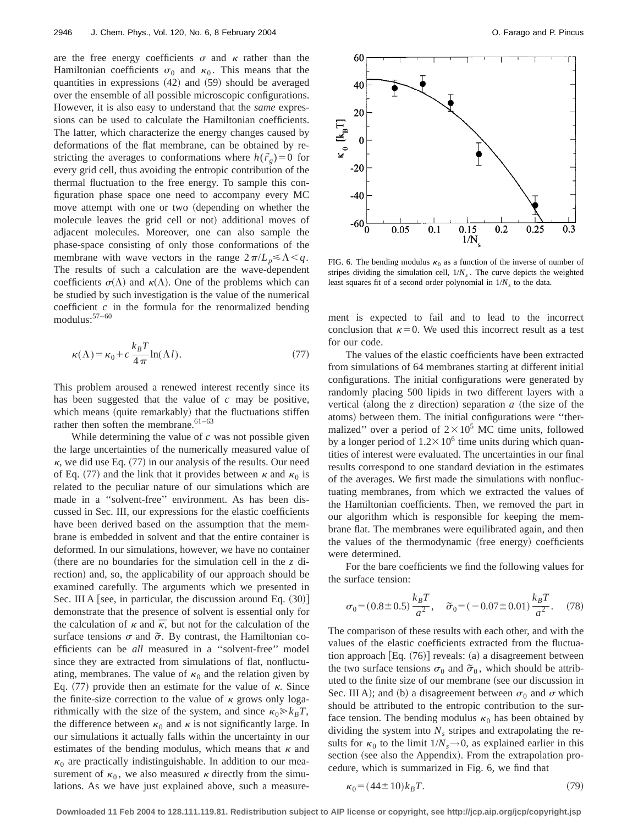are the free energy coefficients  $\sigma$  and  $\kappa$  rather than the Hamiltonian coefficients  $\sigma_0$  and  $\kappa_0$ . This means that the quantities in expressions  $(42)$  and  $(59)$  should be averaged over the ensemble of all possible microscopic configurations. However, it is also easy to understand that the *same* expressions can be used to calculate the Hamiltonian coefficients. The latter, which characterize the energy changes caused by deformations of the flat membrane, can be obtained by restricting the averages to conformations where  $h(\vec{r}_g)=0$  for every grid cell, thus avoiding the entropic contribution of the thermal fluctuation to the free energy. To sample this configuration phase space one need to accompany every MC move attempt with one or two (depending on whether the molecule leaves the grid cell or not) additional moves of adjacent molecules. Moreover, one can also sample the phase-space consisting of only those conformations of the membrane with wave vectors in the range  $2\pi/L_p \leq \Lambda \leq q$ . The results of such a calculation are the wave-dependent coefficients  $\sigma(\Lambda)$  and  $\kappa(\Lambda)$ . One of the problems which can be studied by such investigation is the value of the numerical coefficient *c* in the formula for the renormalized bending modulus:57–60

$$
\kappa(\Lambda) = \kappa_0 + c \frac{k_B T}{4 \pi} \ln(\Lambda l). \tag{77}
$$

This problem aroused a renewed interest recently since its has been suggested that the value of *c* may be positive, which means (quite remarkably) that the fluctuations stiffen rather then soften the membrane. $61-63$ 

While determining the value of *c* was not possible given the large uncertainties of the numerically measured value of  $\kappa$ , we did use Eq. (77) in our analysis of the results. Our need of Eq. (77) and the link that it provides between  $\kappa$  and  $\kappa_0$  is related to the peculiar nature of our simulations which are made in a ''solvent-free'' environment. As has been discussed in Sec. III, our expressions for the elastic coefficients have been derived based on the assumption that the membrane is embedded in solvent and that the entire container is deformed. In our simulations, however, we have no container (there are no boundaries for the simulation cell in the  $z$  direction) and, so, the applicability of our approach should be examined carefully. The arguments which we presented in Sec. III A [see, in particular, the discussion around Eq.  $(30)$ ] demonstrate that the presence of solvent is essential only for the calculation of  $\kappa$  and  $\bar{\kappa}$ , but not for the calculation of the surface tensions  $\sigma$  and  $\tilde{\sigma}$ . By contrast, the Hamiltonian coefficients can be *all* measured in a ''solvent-free'' model since they are extracted from simulations of flat, nonfluctuating, membranes. The value of  $\kappa_0$  and the relation given by Eq. (77) provide then an estimate for the value of  $\kappa$ . Since the finite-size correction to the value of  $\kappa$  grows only logarithmically with the size of the system, and since  $\kappa_0 \gg k_B T$ , the difference between  $\kappa_0$  and  $\kappa$  is not significantly large. In our simulations it actually falls within the uncertainty in our estimates of the bending modulus, which means that  $\kappa$  and  $\kappa_0$  are practically indistinguishable. In addition to our measurement of  $\kappa_0$ , we also measured  $\kappa$  directly from the simulations. As we have just explained above, such a measure-



FIG. 6. The bending modulus  $\kappa_0$  as a function of the inverse of number of stripes dividing the simulation cell,  $1/N<sub>s</sub>$ . The curve depicts the weighted least squares fit of a second order polynomial in  $1/N_s$  to the data.

ment is expected to fail and to lead to the incorrect conclusion that  $\kappa=0$ . We used this incorrect result as a test for our code.

The values of the elastic coefficients have been extracted from simulations of 64 membranes starting at different initial configurations. The initial configurations were generated by randomly placing 500 lipids in two different layers with a vertical (along the *z* direction) separation  $a$  (the size of the atoms) between them. The initial configurations were "thermalized" over a period of  $2 \times 10^5$  MC time units, followed by a longer period of  $1.2 \times 10^6$  time units during which quantities of interest were evaluated. The uncertainties in our final results correspond to one standard deviation in the estimates of the averages. We first made the simulations with nonfluctuating membranes, from which we extracted the values of the Hamiltonian coefficients. Then, we removed the part in our algorithm which is responsible for keeping the membrane flat. The membranes were equilibrated again, and then the values of the thermodynamic (free energy) coefficients were determined.

For the bare coefficients we find the following values for the surface tension:

$$
\sigma_0 = (0.8 \pm 0.5) \frac{k_B T}{a^2}, \quad \tilde{\sigma}_0 = (-0.07 \pm 0.01) \frac{k_B T}{a^2}.
$$
 (78)

The comparison of these results with each other, and with the values of the elastic coefficients extracted from the fluctuation approach  $Eq. (76)$  reveals: (a) a disagreement between the two surface tensions  $\sigma_0$  and  $\tilde{\sigma}_0$ , which should be attributed to the finite size of our membrane (see our discussion in Sec. III A); and (b) a disagreement between  $\sigma_0$  and  $\sigma$  which should be attributed to the entropic contribution to the surface tension. The bending modulus  $\kappa_0$  has been obtained by dividing the system into  $N<sub>s</sub>$  stripes and extrapolating the results for  $\kappa_0$  to the limit  $1/N_s \rightarrow 0$ , as explained earlier in this section (see also the Appendix). From the extrapolation procedure, which is summarized in Fig. 6, we find that

$$
\kappa_0 = (44 \pm 10)k_B T. \tag{79}
$$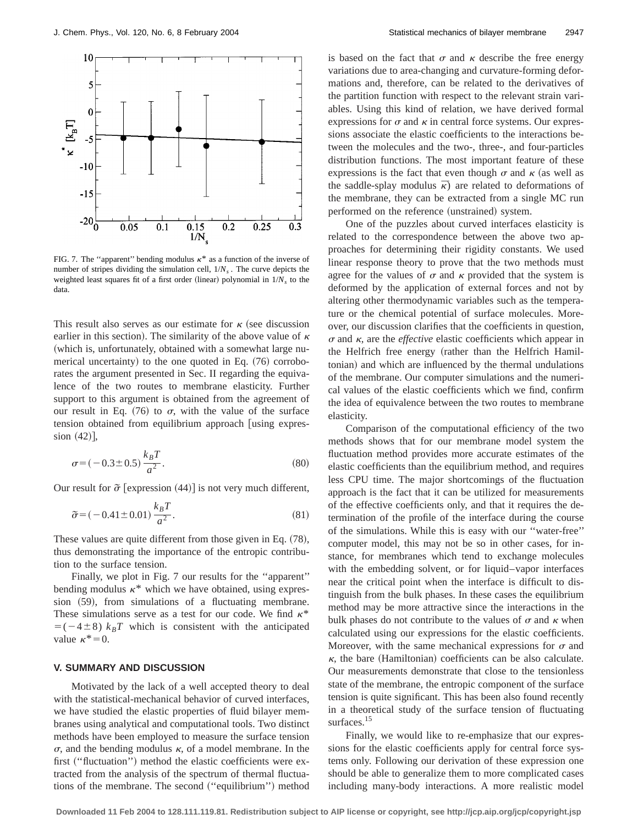

FIG. 7. The "apparent" bending modulus  $\kappa^*$  as a function of the inverse of number of stripes dividing the simulation cell,  $1/N_s$ . The curve depicts the weighted least squares fit of a first order (linear) polynomial in  $1/N_s$  to the data.

This result also serves as our estimate for  $\kappa$  (see discussion earlier in this section). The similarity of the above value of  $\kappa$ (which is, unfortunately, obtained with a somewhat large numerical uncertainty) to the one quoted in Eq.  $(76)$  corroborates the argument presented in Sec. II regarding the equivalence of the two routes to membrane elasticity. Further support to this argument is obtained from the agreement of our result in Eq.  $(76)$  to  $\sigma$ , with the value of the surface tension obtained from equilibrium approach [using expres- $\sin (42)$ ,

$$
\sigma = (-0.3 \pm 0.5) \frac{k_B T}{a^2}.
$$
\n(80)

Our result for  $\tilde{\sigma}$  [expression (44)] is not very much different,

$$
\tilde{\sigma} = (-0.41 \pm 0.01) \frac{k_B T}{a^2}.
$$
\n(81)

These values are quite different from those given in Eq.  $(78)$ , thus demonstrating the importance of the entropic contribution to the surface tension.

Finally, we plot in Fig. 7 our results for the ''apparent'' bending modulus  $\kappa^*$  which we have obtained, using expression  $(59)$ , from simulations of a fluctuating membrane. These simulations serve as a test for our code. We find  $\kappa^*$  $=$  ( $-4\pm 8$ )  $k_B T$  which is consistent with the anticipated value  $\kappa^*=0$ .

#### **V. SUMMARY AND DISCUSSION**

Motivated by the lack of a well accepted theory to deal with the statistical-mechanical behavior of curved interfaces, we have studied the elastic properties of fluid bilayer membranes using analytical and computational tools. Two distinct methods have been employed to measure the surface tension  $\sigma$ , and the bending modulus  $\kappa$ , of a model membrane. In the first ("fluctuation") method the elastic coefficients were extracted from the analysis of the spectrum of thermal fluctuations of the membrane. The second ("equilibrium") method is based on the fact that  $\sigma$  and  $\kappa$  describe the free energy variations due to area-changing and curvature-forming deformations and, therefore, can be related to the derivatives of the partition function with respect to the relevant strain variables. Using this kind of relation, we have derived formal expressions for  $\sigma$  and  $\kappa$  in central force systems. Our expressions associate the elastic coefficients to the interactions between the molecules and the two-, three-, and four-particles distribution functions. The most important feature of these expressions is the fact that even though  $\sigma$  and  $\kappa$  (as well as the saddle-splay modulus  $\bar{k}$ ) are related to deformations of the membrane, they can be extracted from a single MC run performed on the reference (unstrained) system.

One of the puzzles about curved interfaces elasticity is related to the correspondence between the above two approaches for determining their rigidity constants. We used linear response theory to prove that the two methods must agree for the values of  $\sigma$  and  $\kappa$  provided that the system is deformed by the application of external forces and not by altering other thermodynamic variables such as the temperature or the chemical potential of surface molecules. Moreover, our discussion clarifies that the coefficients in question,  $\sigma$  and  $\kappa$ , are the *effective* elastic coefficients which appear in the Helfrich free energy (rather than the Helfrich Hamiltonian) and which are influenced by the thermal undulations of the membrane. Our computer simulations and the numerical values of the elastic coefficients which we find, confirm the idea of equivalence between the two routes to membrane elasticity.

Comparison of the computational efficiency of the two methods shows that for our membrane model system the fluctuation method provides more accurate estimates of the elastic coefficients than the equilibrium method, and requires less CPU time. The major shortcomings of the fluctuation approach is the fact that it can be utilized for measurements of the effective coefficients only, and that it requires the determination of the profile of the interface during the course of the simulations. While this is easy with our ''water-free'' computer model, this may not be so in other cases, for instance, for membranes which tend to exchange molecules with the embedding solvent, or for liquid–vapor interfaces near the critical point when the interface is difficult to distinguish from the bulk phases. In these cases the equilibrium method may be more attractive since the interactions in the bulk phases do not contribute to the values of  $\sigma$  and  $\kappa$  when calculated using our expressions for the elastic coefficients. Moreover, with the same mechanical expressions for  $\sigma$  and  $\kappa$ , the bare (Hamiltonian) coefficients can be also calculate. Our measurements demonstrate that close to the tensionless state of the membrane, the entropic component of the surface tension is quite significant. This has been also found recently in a theoretical study of the surface tension of fluctuating surfaces.<sup>15</sup>

Finally, we would like to re-emphasize that our expressions for the elastic coefficients apply for central force systems only. Following our derivation of these expression one should be able to generalize them to more complicated cases including many-body interactions. A more realistic model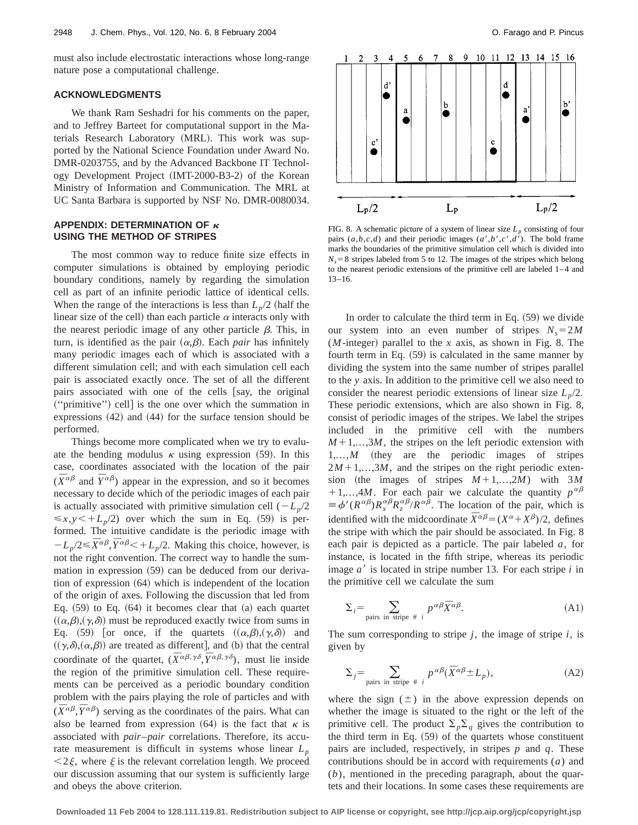must also include electrostatic interactions whose long-range nature pose a computational challenge.

#### **ACKNOWLEDGMENTS**

We thank Ram Seshadri for his comments on the paper, and to Jeffrey Barteet for computational support in the Materials Research Laboratory (MRL). This work was supported by the National Science Foundation under Award No. DMR-0203755, and by the Advanced Backbone IT Technology Development Project (IMT-2000-B3-2) of the Korean Ministry of Information and Communication. The MRL at UC Santa Barbara is supported by NSF No. DMR-0080034.

## **APPENDIX: DETERMINATION OF K USING THE METHOD OF STRIPES**

The most common way to reduce finite size effects in computer simulations is obtained by employing periodic boundary conditions, namely by regarding the simulation cell as part of an infinite periodic lattice of identical cells. When the range of the interactions is less than  $L_p/2$  (half the linear size of the cell) than each particle  $\alpha$  interacts only with the nearest periodic image of any other particle  $\beta$ . This, in turn, is identified as the pair  $(\alpha, \beta)$ . Each *pair* has infinitely many periodic images each of which is associated with a different simulation cell; and with each simulation cell each pair is associated exactly once. The set of all the different pairs associated with one of the cells [say, the original ("primitive") cell] is the one over which the summation in expressions  $(42)$  and  $(44)$  for the surface tension should be performed.

Things become more complicated when we try to evaluate the bending modulus  $\kappa$  using expression (59). In this case, coordinates associated with the location of the pair  $(\bar{X}^{\alpha\beta})$  and  $\bar{Y}^{\alpha\beta}$ ) appear in the expression, and so it becomes necessary to decide which of the periodic images of each pair is actually associated with primitive simulation cell  $(-L_p/2)$  $\leq x, y \leq +L_p/2$  over which the sum in Eq. (59) is performed. The intuitive candidate is the periodic image with  $-L_p/2 \leq \bar{X}^{\alpha\beta}$ ,  $\bar{Y}^{\alpha\beta} < +L_p/2$ . Making this choice, however, is not the right convention. The correct way to handle the summation in expression  $(59)$  can be deduced from our derivation of expression  $(64)$  which is independent of the location of the origin of axes. Following the discussion that led from Eq.  $(59)$  to Eq.  $(64)$  it becomes clear that  $(a)$  each quartet  $((\alpha,\beta),(\gamma,\delta))$  must be reproduced exactly twice from sums in Eq. (59) [or once, if the quartets  $((\alpha,\beta),(\gamma,\delta))$  and  $((\gamma,\delta),(\alpha,\beta))$  are treated as different, and (b) that the central coordinate of the quartet,  $(\bar{X}^{\alpha\beta,\gamma\delta}, \bar{Y}^{\alpha\beta,\gamma\delta})$ , must lie inside the region of the primitive simulation cell. These requirements can be perceived as a periodic boundary condition problem with the pairs playing the role of particles and with  $(\bar{X}^{\alpha\beta}, \bar{Y}^{\alpha\beta})$  serving as the coordinates of the pairs. What can also be learned from expression (64) is the fact that  $\kappa$  is associated with *pair*–*pair* correlations. Therefore, its accurate measurement is difficult in systems whose linear  $L_p$  $\langle 2 \xi, \text{ where } \xi \text{ is the relevant correlation length. We proceed.}$ our discussion assuming that our system is sufficiently large and obeys the above criterion.



FIG. 8. A schematic picture of a system of linear size  $L_p$  consisting of four pairs  $(a,b,c,d)$  and their periodic images  $(a',b',c',d')$ . The bold frame marks the boundaries of the primitive simulation cell which is divided into  $N_s$ =8 stripes labeled from 5 to 12. The images of the stripes which belong to the nearest periodic extensions of the primitive cell are labeled 1–4 and 13–16.

In order to calculate the third term in Eq.  $(59)$  we divide our system into an even number of stripes  $N_s = 2M$  $(M\text{-integer})$  parallel to the *x* axis, as shown in Fig. 8. The fourth term in Eq.  $(59)$  is calculated in the same manner by dividing the system into the same number of stripes parallel to the *y* axis. In addition to the primitive cell we also need to consider the nearest periodic extensions of linear size  $L_p/2$ . These periodic extensions, which are also shown in Fig. 8, consist of periodic images of the stripes. We label the stripes included in the primitive cell with the numbers  $M+1,...,3M$ , the stripes on the left periodic extension with  $1, \ldots, M$  (they are the periodic images of stripes  $2M+1,...,3M$ , and the stripes on the right periodic extension (the images of stripes  $M+1,...,2M$ ) with 3*M*  $+1,...,4M$ . For each pair we calculate the quantity  $p^{\alpha\beta}$  $\equiv \phi'(R^{\alpha\beta})R_x^{\alpha\beta}R_z^{\alpha\beta}/R^{\alpha\beta}$ . The location of the pair, which is identified with the midcoordinate  $\overline{X}^{\alpha\beta} = (X^{\alpha} + X^{\beta})/2$ , defines the stripe with which the pair should be associated. In Fig. 8 each pair is depicted as a particle. The pair labeled *a*, for instance, is located in the fifth stripe, whereas its periodic image  $a'$  is located in stripe number 13. For each stripe  $i$  in the primitive cell we calculate the sum

$$
\Sigma_i = \sum_{\text{pairs in stripe } \# \ i} p^{\alpha \beta} \overline{X}^{\alpha \beta}.
$$
 (A1)

The sum corresponding to stripe *j*, the image of stripe *i*, is given by

$$
\Sigma_j = \sum_{\text{pairs in stripe }#i} p^{\alpha\beta} (\bar{X}^{\alpha\beta} \pm L_p), \tag{A2}
$$

where the sign  $(\pm)$  in the above expression depends on whether the image is situated to the right or the left of the primitive cell. The product  $\Sigma_p \Sigma_q$  gives the contribution to the third term in Eq.  $(59)$  of the quartets whose constituent pairs are included, respectively, in stripes *p* and *q*. These contributions should be in accord with requirements (*a*) and (*b*), mentioned in the preceding paragraph, about the quartets and their locations. In some cases these requirements are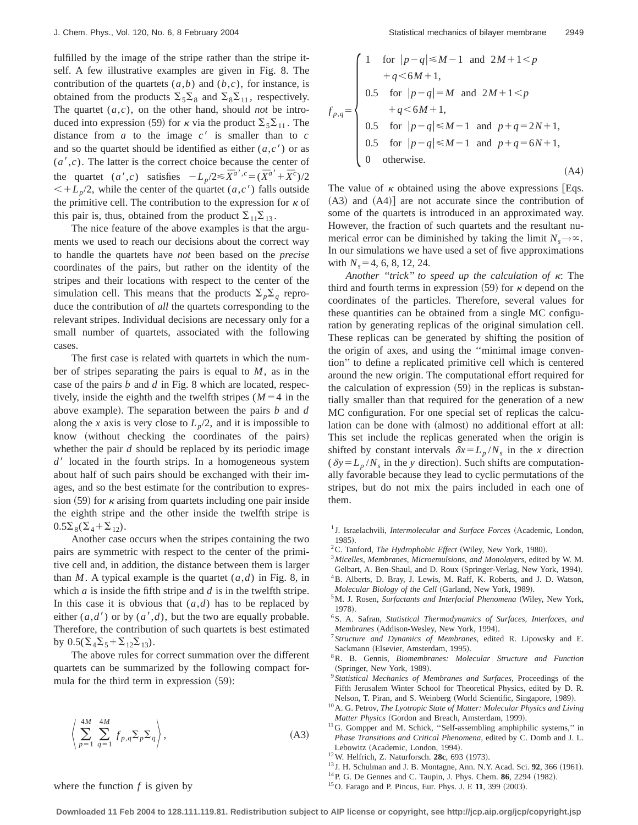fulfilled by the image of the stripe rather than the stripe itself. A few illustrative examples are given in Fig. 8. The contribution of the quartets  $(a,b)$  and  $(b,c)$ , for instance, is obtained from the products  $\Sigma_5 \Sigma_8$  and  $\Sigma_8 \Sigma_{11}$ , respectively. The quartet  $(a, c)$ , on the other hand, should *not* be introduced into expression (59) for  $\kappa$  via the product  $\Sigma_5 \Sigma_{11}$ . The distance from  $a$  to the image  $c'$  is smaller than to  $c$ and so the quartet should be identified as either  $(a, c')$  or as  $(a', c)$ . The latter is the correct choice because the center of the quartet  $(a', c)$  satisfies  $-L_p/2 \le \overline{X}^{a', c} = (\overline{X}^{a'} + \overline{X}^c)/2$  $\lt t L_p/2$ , while the center of the quartet  $(a, c')$  falls outside the primitive cell. The contribution to the expression for  $\kappa$  of this pair is, thus, obtained from the product  $\Sigma_{11}\Sigma_{13}$ .

The nice feature of the above examples is that the arguments we used to reach our decisions about the correct way to handle the quartets have *not* been based on the *precise* coordinates of the pairs, but rather on the identity of the stripes and their locations with respect to the center of the simulation cell. This means that the products  $\sum_{p} \sum_{q}$  reproduce the contribution of *all* the quartets corresponding to the relevant stripes. Individual decisions are necessary only for a small number of quartets, associated with the following cases.

The first case is related with quartets in which the number of stripes separating the pairs is equal to *M*, as in the case of the pairs *b* and *d* in Fig. 8 which are located, respectively, inside the eighth and the twelfth stripes  $(M=4$  in the above example). The separation between the pairs *b* and *d* along the *x* axis is very close to  $L_p/2$ , and it is impossible to know (without checking the coordinates of the pairs) whether the pair *d* should be replaced by its periodic image *d'* located in the fourth strips. In a homogeneous system about half of such pairs should be exchanged with their images, and so the best estimate for the contribution to expression (59) for  $\kappa$  arising from quartets including one pair inside the eighth stripe and the other inside the twelfth stripe is  $0.5\Sigma_8(\Sigma_4+\Sigma_{12}).$ 

Another case occurs when the stripes containing the two pairs are symmetric with respect to the center of the primitive cell and, in addition, the distance between them is larger than  $M$ . A typical example is the quartet  $(a,d)$  in Fig. 8, in which *a* is inside the fifth stripe and *d* is in the twelfth stripe. In this case it is obvious that  $(a,d)$  has to be replaced by either  $(a,d')$  or by  $(a',d)$ , but the two are equally probable. Therefore, the contribution of such quartets is best estimated by  $0.5(\Sigma_4\Sigma_5 + \Sigma_{12}\Sigma_{13})$ .

The above rules for correct summation over the different quartets can be summarized by the following compact formula for the third term in expression  $(59)$ :

$$
\left\langle \sum_{p=1}^{4M} \sum_{q=1}^{4M} f_{p,q} \Sigma_p \Sigma_q \right\rangle, \tag{A3}
$$

$$
f_{p,q} = \begin{cases} 1 & \text{for } |p-q| \le M-1 \text{ and } 2M+1 < p \\ +q < 6M+1, \\ 0.5 & \text{for } |p-q| = M \text{ and } 2M+1 < p \\ +q < 6M+1, \\ 0.5 & \text{for } |p-q| \le M-1 \text{ and } p+q = 2N+1, \\ 0.5 & \text{for } |p-q| \le M-1 \text{ and } p+q = 6N+1, \\ 0 & \text{otherwise.} \end{cases} \tag{A4}
$$

The value of  $\kappa$  obtained using the above expressions [Eqs.  $(A3)$  and  $(A4)$ ] are not accurate since the contribution of some of the quartets is introduced in an approximated way. However, the fraction of such quartets and the resultant numerical error can be diminished by taking the limit  $N_s \rightarrow \infty$ . In our simulations we have used a set of five approximations with  $N_s = 4, 6, 8, 12, 24$ .

*Another ''trick'' to speed up the calculation of* <sup>k</sup>: The third and fourth terms in expression  $(59)$  for  $\kappa$  depend on the coordinates of the particles. Therefore, several values for these quantities can be obtained from a single MC configuration by generating replicas of the original simulation cell. These replicas can be generated by shifting the position of the origin of axes, and using the ''minimal image convention'' to define a replicated primitive cell which is centered around the new origin. The computational effort required for the calculation of expression  $(59)$  in the replicas is substantially smaller than that required for the generation of a new MC configuration. For one special set of replicas the calculation can be done with (almost) no additional effort at all: This set include the replicas generated when the origin is shifted by constant intervals  $\delta x = L_p / N_s$  in the *x* direction  $(\delta y = L_p / N_s)$  in the *y* direction. Such shifts are computationally favorable because they lead to cyclic permutations of the stripes, but do not mix the pairs included in each one of them.

- <sup>1</sup> J. Israelachvili, *Intermolecular and Surface Forces* (Academic, London, 1985).
- <sup>2</sup>C. Tanford, *The Hydrophobic Effect* (Wiley, New York, 1980).
- <sup>3</sup>*Micelles, Membranes, Microemulsions, and Monolayers*, edited by W. M.
- Gelbart, A. Ben-Shaul, and D. Roux (Springer-Verlag, New York, 1994). <sup>4</sup>B. Alberts, D. Bray, J. Lewis, M. Raff, K. Roberts, and J. D. Watson,
- *Molecular Biology of the Cell* (Garland, New York, 1989).
- <sup>5</sup>M. J. Rosen, *Surfactants and Interfacial Phenomena* (Wiley, New York, 1978).
- 6S. A. Safran, *Statistical Thermodynamics of Surfaces, Interfaces, and Membranes* (Addison-Wesley, New York, 1994).
- <sup>7</sup> *Structure and Dynamics of Membranes*, edited R. Lipowsky and E. Sackmann (Elsevier, Amsterdam, 1995).
- 8R. B. Gennis, *Biomembranes: Molecular Structure and Function* (Springer, New York, 1989).
- <sup>9</sup> *Statistical Mechanics of Membranes and Surfaces*, Proceedings of the Fifth Jerusalem Winter School for Theoretical Physics, edited by D. R. Nelson, T. Piran, and S. Weinberg (World Scientific, Singapore, 1989).
- 10A. G. Petrov, *The Lyotropic State of Matter: Molecular Physics and Living Matter Physics* (Gordon and Breach, Amsterdam, 1999).
- <sup>11</sup>G. Gompper and M. Schick, "Self-assembling amphiphilic systems," in *Phase Transitions and Critical Phenomena*, edited by C. Domb and J. L. Lebowitz (Academic, London, 1994).
- <sup>12</sup>W. Helfrich, Z. Naturforsch. **28c**, 693 (1973).
- <sup>13</sup> J. H. Schulman and J. B. Montagne, Ann. N.Y. Acad. Sci. 92, 366 (1961).
- <sup>14</sup> P. G. De Gennes and C. Taupin, J. Phys. Chem. **86**, 2294 (1982).
- <sup>15</sup> O. Farago and P. Pincus, Eur. Phys. J. E **11**, 399 (2003).

## where the function *f* is given by